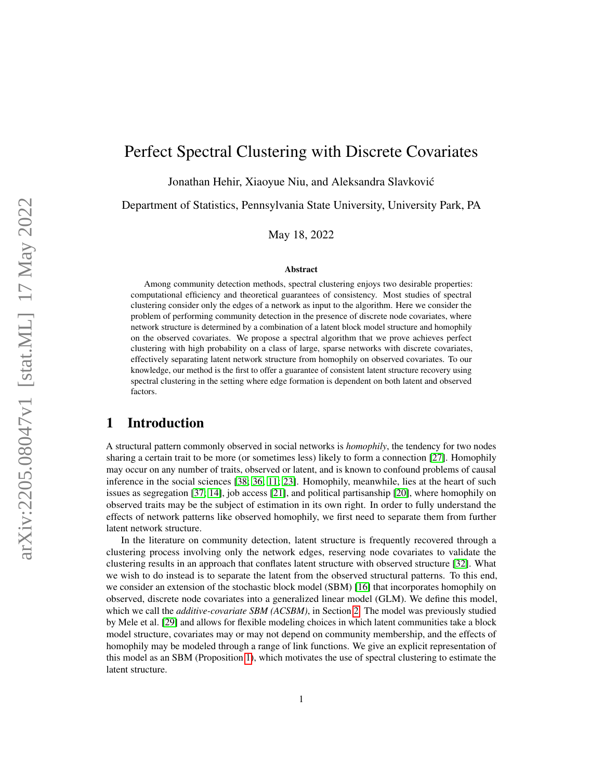# Perfect Spectral Clustering with Discrete Covariates

Jonathan Hehir, Xiaoyue Niu, and Aleksandra Slavkovic´

Department of Statistics, Pennsylvania State University, University Park, PA

May 18, 2022

#### Abstract

Among community detection methods, spectral clustering enjoys two desirable properties: computational efficiency and theoretical guarantees of consistency. Most studies of spectral clustering consider only the edges of a network as input to the algorithm. Here we consider the problem of performing community detection in the presence of discrete node covariates, where network structure is determined by a combination of a latent block model structure and homophily on the observed covariates. We propose a spectral algorithm that we prove achieves perfect clustering with high probability on a class of large, sparse networks with discrete covariates, effectively separating latent network structure from homophily on observed covariates. To our knowledge, our method is the first to offer a guarantee of consistent latent structure recovery using spectral clustering in the setting where edge formation is dependent on both latent and observed factors.

### 1 Introduction

A structural pattern commonly observed in social networks is *homophily*, the tendency for two nodes sharing a certain trait to be more (or sometimes less) likely to form a connection [\[27\]](#page-11-0). Homophily may occur on any number of traits, observed or latent, and is known to confound problems of causal inference in the social sciences [\[38;](#page-12-0) [36;](#page-11-1) [11;](#page-10-0) [23\]](#page-11-2). Homophily, meanwhile, lies at the heart of such issues as segregation [\[37;](#page-11-3) [14\]](#page-10-1), job access [\[21\]](#page-11-4), and political partisanship [\[20\]](#page-11-5), where homophily on observed traits may be the subject of estimation in its own right. In order to fully understand the effects of network patterns like observed homophily, we first need to separate them from further latent network structure.

In the literature on community detection, latent structure is frequently recovered through a clustering process involving only the network edges, reserving node covariates to validate the clustering results in an approach that conflates latent structure with observed structure [\[32\]](#page-11-6). What we wish to do instead is to separate the latent from the observed structural patterns. To this end, we consider an extension of the stochastic block model (SBM) [\[16\]](#page-10-2) that incorporates homophily on observed, discrete node covariates into a generalized linear model (GLM). We define this model, which we call the *additive-covariate SBM (ACSBM)*, in Section [2.](#page-2-0) The model was previously studied by Mele et al. [\[29\]](#page-11-7) and allows for flexible modeling choices in which latent communities take a block model structure, covariates may or may not depend on community membership, and the effects of homophily may be modeled through a range of link functions. We give an explicit representation of this model as an SBM (Proposition [1\)](#page-3-0), which motivates the use of spectral clustering to estimate the latent structure.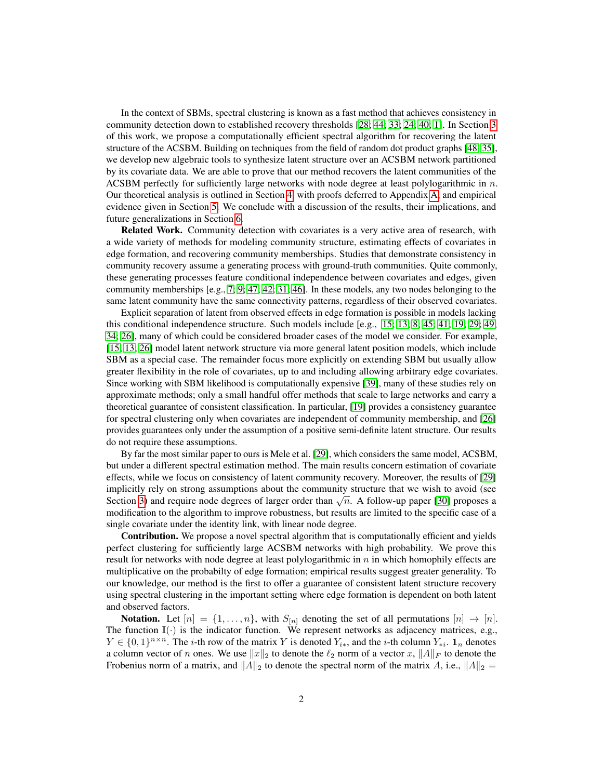In the context of SBMs, spectral clustering is known as a fast method that achieves consistency in community detection down to established recovery thresholds [\[28;](#page-11-8) [44;](#page-12-1) [33;](#page-11-9) [24;](#page-11-10) [40;](#page-12-2) [1\]](#page-10-3). In Section [3](#page-4-0) of this work, we propose a computationally efficient spectral algorithm for recovering the latent structure of the ACSBM. Building on techniques from the field of random dot product graphs [\[48;](#page-12-3) [35\]](#page-11-11), we develop new algebraic tools to synthesize latent structure over an ACSBM network partitioned by its covariate data. We are able to prove that our method recovers the latent communities of the ACSBM perfectly for sufficiently large networks with node degree at least polylogarithmic in  $n$ . Our theoretical analysis is outlined in Section [4,](#page-6-0) with proofs deferred to Appendix [A,](#page-13-0) and empirical evidence given in Section [5.](#page-8-0) We conclude with a discussion of the results, their implications, and future generalizations in Section [6.](#page-9-0)

Related Work. Community detection with covariates is a very active area of research, with a wide variety of methods for modeling community structure, estimating effects of covariates in edge formation, and recovering community memberships. Studies that demonstrate consistency in community recovery assume a generating process with ground-truth communities. Quite commonly, these generating processes feature conditional independence between covariates and edges, given community memberships [e.g., [7;](#page-10-4) [9;](#page-10-5) [47;](#page-12-4) [42;](#page-12-5) [31;](#page-11-12) [46\]](#page-12-6). In these models, any two nodes belonging to the same latent community have the same connectivity patterns, regardless of their observed covariates.

Explicit separation of latent from observed effects in edge formation is possible in models lacking this conditional independence structure. Such models include [e.g., [15;](#page-10-6) [13;](#page-10-7) [8;](#page-10-8) [45;](#page-12-7) [41;](#page-12-8) [19;](#page-10-9) [29;](#page-11-7) [49;](#page-12-9) [34;](#page-11-13) [26\]](#page-11-14), many of which could be considered broader cases of the model we consider. For example, [\[15;](#page-10-6) [13;](#page-10-7) [26\]](#page-11-14) model latent network structure via more general latent position models, which include SBM as a special case. The remainder focus more explicitly on extending SBM but usually allow greater flexibility in the role of covariates, up to and including allowing arbitrary edge covariates. Since working with SBM likelihood is computationally expensive [\[39\]](#page-12-10), many of these studies rely on approximate methods; only a small handful offer methods that scale to large networks and carry a theoretical guarantee of consistent classification. In particular, [\[19\]](#page-10-9) provides a consistency guarantee for spectral clustering only when covariates are independent of community membership, and [\[26\]](#page-11-14) provides guarantees only under the assumption of a positive semi-definite latent structure. Our results do not require these assumptions.

By far the most similar paper to ours is Mele et al. [\[29\]](#page-11-7), which considers the same model, ACSBM, but under a different spectral estimation method. The main results concern estimation of covariate effects, while we focus on consistency of latent community recovery. Moreover, the results of [\[29\]](#page-11-7) implicitly rely on strong assumptions about the community structure that we wish to avoid (see mipricity fery on strong assumptions about the community structure that we wish to avoid (see<br>Section [3\)](#page-4-0) and require node degrees of larger order than  $\sqrt{n}$ . A follow-up paper [\[30\]](#page-11-15) proposes a modification to the algorithm to improve robustness, but results are limited to the specific case of a single covariate under the identity link, with linear node degree.

Contribution. We propose a novel spectral algorithm that is computationally efficient and yields perfect clustering for sufficiently large ACSBM networks with high probability. We prove this result for networks with node degree at least polylogarithmic in  $n$  in which homophily effects are multiplicative on the probabilty of edge formation; empirical results suggest greater generality. To our knowledge, our method is the first to offer a guarantee of consistent latent structure recovery using spectral clustering in the important setting where edge formation is dependent on both latent and observed factors.

**Notation.** Let  $[n] = \{1, \ldots, n\}$ , with  $S_{[n]}$  denoting the set of all permutations  $[n] \rightarrow [n]$ . The function  $\mathbb{I}(\cdot)$  is the indicator function. We represent networks as adjacency matrices, e.g.,  $Y \in \{0,1\}^{n \times n}$ . The *i*-th row of the matrix Y is denoted  $Y_{i*}$ , and the *i*-th column  $Y_{*i}$ .  $\mathbf{1}_n$  denotes a column vector of n ones. We use  $||x||_2$  to denote the  $\ell_2$  norm of a vector  $x, ||A||_F$  to denote the Frobenius norm of a matrix, and  $||A||_2$  to denote the spectral norm of the matrix A, i.e.,  $||A||_2$  =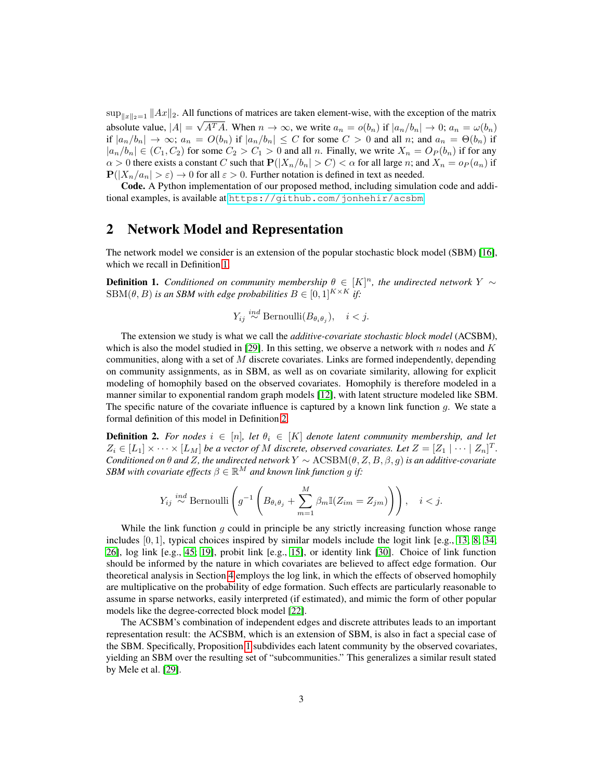$\sup_{\|x\|_2=1} \|Ax\|_2$ . All functions of matrices are taken element-wise, with the exception of the matrix absolute value,  $|A| = \sqrt{A^T A}$ . When  $n \to \infty$ , we write  $a_n = o(b_n)$  if  $|a_n/b_n| \to 0$ ;  $a_n = \omega(b_n)$ if  $|a_n/b_n| \to \infty$ ;  $a_n = O(b_n)$  if  $|a_n/b_n| \leq C$  for some  $C > 0$  and all n; and  $a_n = \Theta(b_n)$  if  $|a_n/b_n| \in (C_1, C_2)$  for some  $C_2 > C_1 > 0$  and all n. Finally, we write  $X_n = O_P(b_n)$  if for any  $\alpha > 0$  there exists a constant C such that  $P(|X_n/b_n| > C) < \alpha$  for all large n; and  $X_n = o_P(a_n)$  if  $P(|X_n/a_n| > \varepsilon) \to 0$  for all  $\varepsilon > 0$ . Further notation is defined in text as needed.

Code. A Python implementation of our proposed method, including simulation code and additional examples, is available at <https://github.com/jonhehir/acsbm>.

### <span id="page-2-0"></span>2 Network Model and Representation

The network model we consider is an extension of the popular stochastic block model (SBM) [\[16\]](#page-10-2), which we recall in Definition [1.](#page-2-1)

<span id="page-2-1"></span>**Definition 1.** *Conditioned on community membership*  $\theta \in [K]^n$ , the undirected network Y ∼  $SBM(\theta, B)$  *is an SBM with edge probabilities*  $B \in [0, 1]^{K \times K}$  *if:* 

$$
Y_{ij} \stackrel{ind}{\sim} \text{Bernoulli}(B_{\theta_i \theta_j}), \quad i < j.
$$

The extension we study is what we call the *additive-covariate stochastic block model* (ACSBM), which is also the model studied in [\[29\]](#page-11-7). In this setting, we observe a network with n nodes and K communities, along with a set of  $M$  discrete covariates. Links are formed independently, depending on community assignments, as in SBM, as well as on covariate similarity, allowing for explicit modeling of homophily based on the observed covariates. Homophily is therefore modeled in a manner similar to exponential random graph models [\[12\]](#page-10-10), with latent structure modeled like SBM. The specific nature of the covariate influence is captured by a known link function q. We state a formal definition of this model in Definition [2.](#page-2-2)

<span id="page-2-2"></span>**Definition 2.** For nodes  $i \in [n]$ , let  $\theta_i \in [K]$  denote latent community membership, and let  $Z_i \in [L_1] \times \cdots \times [L_M]$  be a vector of M discrete, observed covariates. Let  $Z = [Z_1 \mid \cdots \mid Z_n]^T$ . *Conditioned on* θ *and* Z*, the undirected network* Y ∼ ACSBM(θ, Z, B, β, g) *is an additive-covariate SBM with covariate effects*  $\beta \in \mathbb{R}^M$  *and known link function q if:* 

$$
Y_{ij} \stackrel{ind}{\sim} \text{Bernoulli}\left(g^{-1}\left(B_{\theta_i\theta_j} + \sum_{m=1}^M \beta_m \mathbb{I}(Z_{im} = Z_{jm})\right)\right), \quad i < j.
$$

While the link function  $g$  could in principle be any strictly increasing function whose range includes  $[0, 1]$ , typical choices inspired by similar models include the logit link [e.g., [13;](#page-10-7) [8;](#page-10-8) [34;](#page-11-13) [26\]](#page-11-14), log link [e.g., [45;](#page-12-7) [19\]](#page-10-9), probit link [e.g., [15\]](#page-10-6), or identity link [\[30\]](#page-11-15). Choice of link function should be informed by the nature in which covariates are believed to affect edge formation. Our theoretical analysis in Section [4](#page-6-0) employs the log link, in which the effects of observed homophily are multiplicative on the probability of edge formation. Such effects are particularly reasonable to assume in sparse networks, easily interpreted (if estimated), and mimic the form of other popular models like the degree-corrected block model [\[22\]](#page-11-16).

The ACSBM's combination of independent edges and discrete attributes leads to an important representation result: the ACSBM, which is an extension of SBM, is also in fact a special case of the SBM. Specifically, Proposition [1](#page-3-0) subdivides each latent community by the observed covariates, yielding an SBM over the resulting set of "subcommunities." This generalizes a similar result stated by Mele et al. [\[29\]](#page-11-7).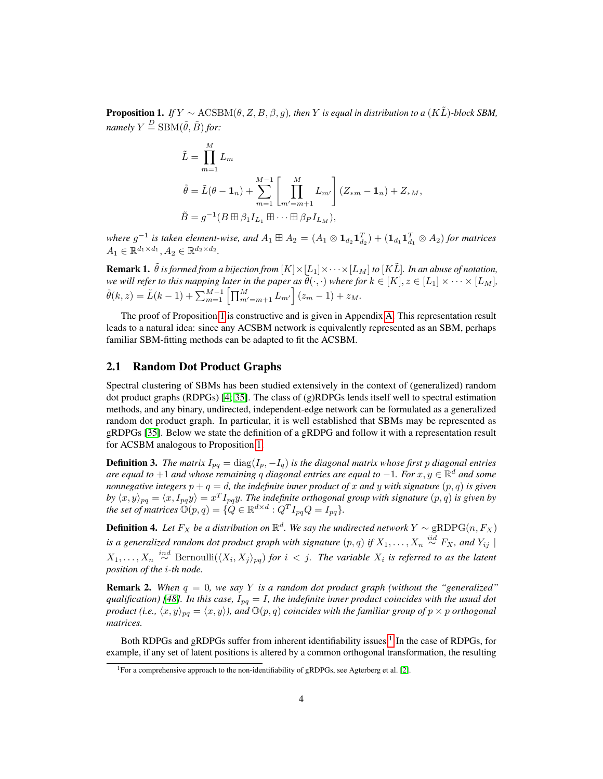<span id="page-3-0"></span>**Proposition 1.** *If*  $Y \sim \text{ACSBM}(\theta, Z, B, \beta, q)$ *, then* Y *is equal in distribution to a* (K $\tilde{L}$ )*-block SBM, namely*  $Y \stackrel{D}{=} \text{SBM}(\tilde{\theta}, \tilde{B})$  *for:* 

$$
\tilde{L} = \prod_{m=1}^{M} L_m
$$
\n
$$
\tilde{\theta} = \tilde{L}(\theta - \mathbf{1}_n) + \sum_{m=1}^{M-1} \left[ \prod_{m'=m+1}^{M} L_{m'} \right] (Z_{*m} - \mathbf{1}_n) + Z_{*M},
$$
\n
$$
\tilde{B} = g^{-1} (B \boxplus \beta_1 I_{L_1} \boxplus \cdots \boxplus \beta_P I_{L_M}),
$$

where  $g^{-1}$  is taken element-wise, and  $A_1 \boxplus A_2 = (A_1 \otimes 1_{d_2} 1_{d_2}^T) + (1_{d_1} 1_{d_1}^T \otimes A_2)$  for matrices  $A_1 \in \mathbb{R}^{d_1 \times d_1}, A_2 \in \mathbb{R}^{d_2 \times d_2}.$ 

**Remark 1.**  $\tilde{\theta}$  *is formed from a bijection from*  $[K] \times [L_1] \times \cdots \times [L_M]$  *to*  $[K\tilde{L}]$ *. In an abuse of notation, we will refer to this mapping later in the paper as*  $\tilde{\theta}(\cdot,\cdot)$  *where for*  $k \in [K], z \in [L_1] \times \cdots \times [L_M]$ *,*  $\tilde{\theta}(k, z) = \tilde{L}(k-1) + \sum_{m=1}^{M-1} \left[ \prod_{m'=m+1}^{M} L_{m'} \right] (z_m - 1) + z_M.$ 

The proof of Proposition [1](#page-3-0) is constructive and is given in Appendix [A.](#page-13-0) This representation result leads to a natural idea: since any ACSBM network is equivalently represented as an SBM, perhaps familiar SBM-fitting methods can be adapted to fit the ACSBM.

### 2.1 Random Dot Product Graphs

Spectral clustering of SBMs has been studied extensively in the context of (generalized) random dot product graphs (RDPGs) [\[4;](#page-10-11) [35\]](#page-11-11). The class of  $(g)$ RDPGs lends itself well to spectral estimation methods, and any binary, undirected, independent-edge network can be formulated as a generalized random dot product graph. In particular, it is well established that SBMs may be represented as gRDPGs [\[35\]](#page-11-11). Below we state the definition of a gRDPG and follow it with a representation result for ACSBM analogous to Proposition [1.](#page-3-0)

**Definition 3.** *The matrix*  $I_{pq} = \text{diag}(I_p, -I_q)$  *is the diagonal matrix whose first p diagonal entries are equal to* +1 *and whose remaining* q *diagonal entries are equal to* −1*. For* x, y ∈ R <sup>d</sup> *and some nonnegative integers*  $p + q = d$ , the indefinite inner product of x and y with signature  $(p, q)$  is given by  $\langle x, y \rangle_{pq} = \langle x, I_{pq}y \rangle = x^T I_{pq}y$ . The indefinite orthogonal group with signature  $(p, q)$  is given by *the set of matrices*  $\mathbb{O}(p,q) = \{Q \in \mathbb{R}^{d \times d} : Q^T I_{pq} Q = I_{pq}\}.$ 

**Definition 4.** Let  $F_X$  be a distribution on  $\mathbb{R}^d$ . We say the undirected network  $Y \sim$  gRDPG $(n, F_X)$ is a generalized random dot product graph with signature  $(p,q)$  if  $X_1, \ldots, X_n \stackrel{iid}{\sim} F_X$ , and  $Y_{ij} \mid$  $X_1,\ldots,X_n \stackrel{ind}{\sim} \text{Bernoulli}(\langle X_i,X_j\rangle_{pq})$  *for*  $i < j$ . The variable  $X_i$  is referred to as the latent *position of the* i*-th node.*

**Remark 2.** When  $q = 0$ , we say Y is a random dot product graph (without the "generalized" *qualification)* [\[48\]](#page-12-3). In this case,  $I_{pq} = I$ , the indefinite inner product coincides with the usual dot *product (i.e.,*  $\langle x, y \rangle_{pq} = \langle x, y \rangle$ ), and  $\mathbb{O}(p, q)$  *coincides with the familiar group of*  $p \times p$  *orthogonal matrices.*

Both RDPGs and gRDPGs suffer from inherent identifiability issues.<sup>[1](#page-3-1)</sup> In the case of RDPGs, for example, if any set of latent positions is altered by a common orthogonal transformation, the resulting

<span id="page-3-1"></span><sup>&</sup>lt;sup>1</sup>For a comprehensive approach to the non-identifiability of gRDPGs, see Agterberg et al. [\[2\]](#page-10-12).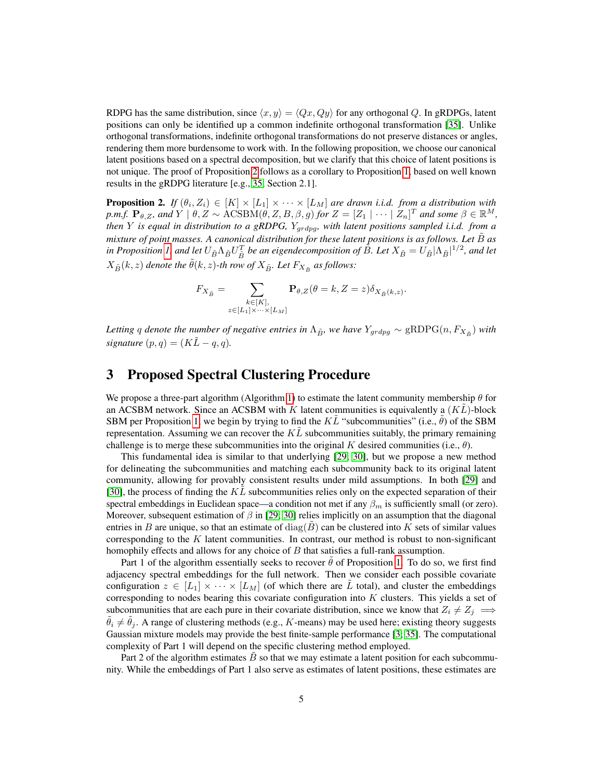RDPG has the same distribution, since  $\langle x, y \rangle = \langle Qx, Qy \rangle$  for any orthogonal Q. In gRDPGs, latent positions can only be identified up a common indefinite orthogonal transformation [\[35\]](#page-11-11). Unlike orthogonal transformations, indefinite orthogonal transformations do not preserve distances or angles, rendering them more burdensome to work with. In the following proposition, we choose our canonical latent positions based on a spectral decomposition, but we clarify that this choice of latent positions is not unique. The proof of Proposition [2](#page-4-1) follows as a corollary to Proposition [1,](#page-3-0) based on well known results in the gRDPG literature [e.g., [35,](#page-11-11) Section 2.1].

<span id="page-4-1"></span>**Proposition 2.** If  $(\theta_i, Z_i) \in [K] \times [L_1] \times \cdots \times [L_M]$  are drawn i.i.d. from a distribution with  $p.m.f.$   $\mathbf{P}_{\theta,Z}$ *, and*  $Y \mid \theta, Z \sim \text{ACSBM}(\theta, Z, B, \beta, g)$  *for*  $Z = [Z_1 \mid \cdots \mid Z_n]^T$  *and some*  $\beta \in \mathbb{R}^M$ *, then* Y *is equal in distribution to a gRDPG,* Ygrdpg*, with latent positions sampled i.i.d. from a mixture of point masses. A canonical distribution for these latent positions is as follows. Let*  $\tilde{B}$  *as* in Proposition [1,](#page-3-0) and let  $U_{\tilde{B}}\Lambda_{\tilde{B}}U_{\tilde{B}}^T$  be an eigendecomposition of  $\hat{B}$ . Let  $X_{\tilde{B}}=U_{\tilde{B}}|\Lambda_{\tilde{B}}|^{1/2}$ , and let  $X_{\tilde{B}}(k, z)$  denote the  $\tilde{\theta}(k, z)$ -th row of  $X_{\tilde{B}}$ . Let  $F_{X_{\tilde{B}}}$  as follows:

$$
F_{X_{\tilde{B}}} = \sum_{\substack{k \in [K],\\z \in [L_1] \times \cdots \times [L_M]}} \mathbf{P}_{\theta, Z}(\theta = k, Z = z) \delta_{X_{\tilde{B}}(k, z)}.
$$

Letting q denote the number of negative entries in  $\Lambda_{\tilde{B}}$ , we have  $Y_{grdpg} \sim$  gRDPG $(n, F_{X_{\tilde{B}}})$  with *signature*  $(p, q) = (K\tilde{L} - q, q)$ .

## <span id="page-4-0"></span>3 Proposed Spectral Clustering Procedure

We propose a three-part algorithm (Algorithm [1\)](#page-5-0) to estimate the latent community membership  $\theta$  for an ACSBM network. Since an ACSBM with K latent communities is equivalently a  $(KL)$ -block SBM per Proposition [1,](#page-3-0) we begin by trying to find the  $K\tilde{L}$  "subcommunities" (i.e.,  $\hat{\theta}$ ) of the SBM representation. Assuming we can recover the  $KL$  subcommunities suitably, the primary remaining challenge is to merge these subcommunities into the original K desired communities (i.e.,  $\theta$ ).

This fundamental idea is similar to that underlying [\[29;](#page-11-7) [30\]](#page-11-15), but we propose a new method for delineating the subcommunities and matching each subcommunity back to its original latent community, allowing for provably consistent results under mild assumptions. In both [\[29\]](#page-11-7) and [\[30\]](#page-11-15), the process of finding the  $KL$  subcommunities relies only on the expected separation of their spectral embeddings in Euclidean space—a condition not met if any  $\beta_m$  is sufficiently small (or zero). Moreover, subsequent estimation of  $\beta$  in [\[29;](#page-11-7) [30\]](#page-11-15) relies implicitly on an assumption that the diagonal entries in B are unique, so that an estimate of diag(B) can be clustered into K sets of similar values corresponding to the  $K$  latent communities. In contrast, our method is robust to non-significant homophily effects and allows for any choice of  $B$  that satisfies a full-rank assumption.

Part 1 of the algorithm essentially seeks to recover  $\theta$  of Proposition [1.](#page-3-0) To do so, we first find adjacency spectral embeddings for the full network. Then we consider each possible covariate configuration  $z \in [L_1] \times \cdots \times [L_M]$  (of which there are L total), and cluster the embeddings corresponding to nodes bearing this covariate configuration into  $K$  clusters. This yields a set of subcommunities that are each pure in their covariate distribution, since we know that  $Z_i \neq Z_j \implies$  $\tilde{\theta}_i \neq \tilde{\theta}_j$ . A range of clustering methods (e.g., K-means) may be used here; existing theory suggests Gaussian mixture models may provide the best finite-sample performance [\[3;](#page-10-13) [35\]](#page-11-11). The computational complexity of Part 1 will depend on the specific clustering method employed.

Part 2 of the algorithm estimates  $B$  so that we may estimate a latent position for each subcommunity. While the embeddings of Part 1 also serve as estimates of latent positions, these estimates are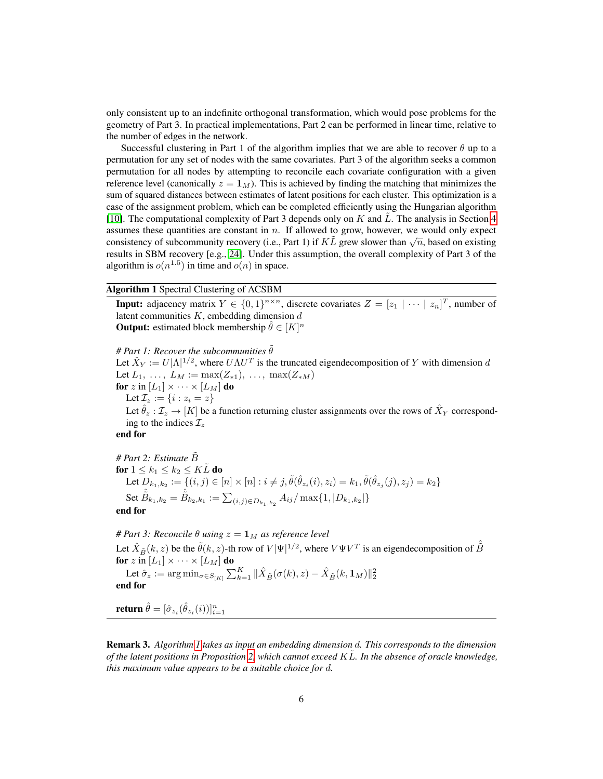only consistent up to an indefinite orthogonal transformation, which would pose problems for the geometry of Part 3. In practical implementations, Part 2 can be performed in linear time, relative to the number of edges in the network.

Successful clustering in Part 1 of the algorithm implies that we are able to recover  $\theta$  up to a permutation for any set of nodes with the same covariates. Part 3 of the algorithm seeks a common permutation for all nodes by attempting to reconcile each covariate configuration with a given reference level (canonically  $z = \mathbf{1}_M$ ). This is achieved by finding the matching that minimizes the sum of squared distances between estimates of latent positions for each cluster. This optimization is a case of the assignment problem, which can be completed efficiently using the Hungarian algorithm [\[10\]](#page-10-14). The computational complexity of Part 3 depends only on  $K$  and  $L$ . The analysis in Section [4](#page-6-0) assumes these quantities are constant in  $n$ . If allowed to grow, however, we would only expect assumes these quantities are constant in *n*. If anowed to grow, however, we would only expect consistency of subcommunity recovery (i.e., Part 1) if  $K\tilde{L}$  grew slower than  $\sqrt{n}$ , based on existing results in SBM recovery [e.g., [24\]](#page-11-10). Under this assumption, the overall complexity of Part 3 of the algorithm is  $o(n^{1.5})$  in time and  $o(n)$  in space.

Algorithm 1 Spectral Clustering of ACSBM

<span id="page-5-0"></span>**Input:** adjacency matrix  $Y \in \{0,1\}^{n \times n}$ , discrete covariates  $Z = [z_1 | \cdots | z_n]^T$ , number of latent communities  $K$ , embedding dimension  $d$ **Output:** estimated block membership  $\hat{\theta} \in [K]^n$ 

*# Part 1: Recover the subcommunities*  $\tilde{\theta}$ Let  $\hat{X}_Y := U|\Lambda|^{1/2}$ , where  $U\Lambda U^T$  is the truncated eigendecomposition of Y with dimension d Let  $L_1, \ldots, L_M := \max(Z_{*1}), \ldots, \max(Z_{*M})$ for z in  $[L_1] \times \cdots \times [L_M]$  do Let  $\mathcal{I}_z := \{i : z_i = z\}$ Let  $\hat{\theta}_z : \mathcal{I}_z \to [K]$  be a function returning cluster assignments over the rows of  $\hat{X}_Y$  corresponding to the indices  $\mathcal{I}_z$ end for

# Part 2: Estimate  $\tilde{B}$ for  $1 \leq k_1 \leq k_2 \leq K\tilde{L}$  do Let  $D_{k_1,k_2} := \{(i,j) \in [n] \times [n] : i \neq j, \tilde{\theta}(\hat{\theta}_{z_i}(i), z_i) = k_1, \tilde{\theta}(\hat{\theta}_{z_j}(j), z_j) = k_2\}$ Set  $\hat{\tilde{B}}_{k_1,k_2} = \hat{\tilde{B}}_{k_2,k_1} := \sum_{(i,j) \in D_{k_1,k_2}} A_{ij} / \max\{1,|D_{k_1,k_2}|\}$ end for

*# Part 3: Reconcile*  $\theta$  *using*  $z = \mathbf{1}_M$  *as reference level* Let  $\hat{X}_{\tilde{B}}(k, z)$  be the  $\tilde{\theta}(k, z)$ -th row of  $V|\Psi|^{1/2}$ , where  $V\Psi V^T$  is an eigendecomposition of  $\hat{\tilde{B}}$ for  $z \in [L_1] \times \cdots \times [L_M]$  do

Let  $\hat{\sigma}_z := \arg\min_{\sigma \in S_{[K]}} \sum_{k=1}^K \|\hat{X}_{\tilde{B}}(\sigma(k),z) - \hat{X}_{\tilde{B}}(k,\mathbf{1}_M)\|_2^2$ end for

return  $\hat{\theta} = [\hat{\sigma}_{z_i}(\hat{\theta}_{z_i}(i))]_{i=1}^n$ 

Remark 3. *Algorithm [1](#page-5-0) takes as input an embedding dimension* d*. This corresponds to the dimension of the latent positions in Proposition [2,](#page-4-1) which cannot exceed* KL˜*. In the absence of oracle knowledge, this maximum value appears to be a suitable choice for* d*.*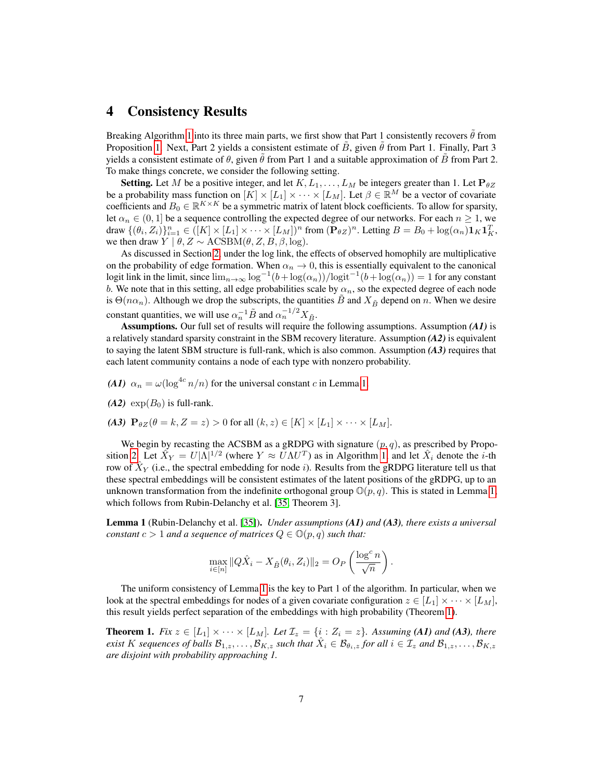### <span id="page-6-0"></span>4 Consistency Results

Breaking Algorithm [1](#page-5-0) into its three main parts, we first show that Part 1 consistently recovers  $\hat{\theta}$  from Proposition [1.](#page-3-0) Next, Part 2 yields a consistent estimate of B, given  $\theta$  from Part 1. Finally, Part 3 yields a consistent estimate of  $\theta$ , given  $\theta$  from Part 1 and a suitable approximation of B from Part 2. To make things concrete, we consider the following setting.

**Setting.** Let M be a positive integer, and let  $K, L_1, \ldots, L_M$  be integers greater than 1. Let  $\mathbf{P}_{\theta Z}$ be a probability mass function on  $[K] \times [L_1] \times \cdots \times [L_M]$ . Let  $\beta \in \mathbb{R}^M$  be a vector of covariate coefficients and  $B_0 \in \mathbb{R}^{K \times K}$  be a symmetric matrix of latent block coefficients. To allow for sparsity, let  $\alpha_n \in (0,1]$  be a sequence controlling the expected degree of our networks. For each  $n \geq 1$ , we draw  $\{(\theta_i, Z_i)\}_{i=1}^n \in ([K] \times [L_1] \times \cdots \times [L_M])^n$  from  $(\mathbf{P}_{\theta Z})^n$ . Letting  $B = B_0 + \log(\alpha_n) \mathbf{1}_K \mathbf{1}_K^T$ , we then draw  $Y \mid \theta, Z \sim \text{ACSBM}(\theta, Z, B, \beta, \log).$ 

As discussed in Section [2,](#page-2-0) under the log link, the effects of observed homophily are multiplicative on the probability of edge formation. When  $\alpha_n \to 0$ , this is essentially equivalent to the canonical logit link in the limit, since  $\lim_{n\to\infty}$  log<sup>-1</sup> $(b+\log(\alpha_n))/\logit^{-1}(b+\log(\alpha_n)) = 1$  for any constant b. We note that in this setting, all edge probabilities scale by  $\alpha_n$ , so the expected degree of each node is  $\Theta(n\alpha_n)$ . Although we drop the subscripts, the quantities B and  $X_{\tilde{B}}$  depend on n. When we desire constant quantities, we will use  $\alpha_n^{-1} \tilde{B}$  and  $\alpha_n^{-1/2} X_{\tilde{B}}$ .

Assumptions. Our full set of results will require the following assumptions. Assumption *(A1)* is a relatively standard sparsity constraint in the SBM recovery literature. Assumption *(A2)* is equivalent to saying the latent SBM structure is full-rank, which is also common. Assumption *(A3)* requires that each latent community contains a node of each type with nonzero probability.

- *(A1)*  $\alpha_n = \omega(\log^{4c} n/n)$  for the universal constant c in Lemma [1.](#page-6-1)
- $(A2)$  exp $(B<sub>0</sub>)$  is full-rank.
- *(A3)*  $\mathbf{P}_{\theta Z}(\theta = k, Z = z) > 0$  for all  $(k, z) \in [K] \times [L_1] \times \cdots \times [L_M]$ .

We begin by recasting the ACSBM as a gRDPG with signature  $(p, q)$ , as prescribed by Propo-sition [2.](#page-4-1) Let  $\hat{X}_Y = U|\Lambda|^{1/2}$  (where  $Y \approx U\Lambda U^T$ ) as in Algorithm [1,](#page-5-0) and let  $\hat{X}_i$  denote the *i*-th row of  $\hat{X}_Y$  (i.e., the spectral embedding for node *i*). Results from the gRDPG literature tell us that these spectral embeddings will be consistent estimates of the latent positions of the gRDPG, up to an unknown transformation from the indefinite orthogonal group  $\mathbb{O}(p,q)$ . This is stated in Lemma [1,](#page-6-1) which follows from Rubin-Delanchy et al. [\[35,](#page-11-11) Theorem 3].

<span id="page-6-1"></span>Lemma 1 (Rubin-Delanchy et al. [\[35\]](#page-11-11)). *Under assumptions (A1) and (A3), there exists a universal constant*  $c > 1$  *and a sequence of matrices*  $Q \in \mathbb{O}(p,q)$  *such that:* 

$$
\max_{i \in [n]} \|Q\hat{X}_i - X_{\tilde{B}}(\theta_i, Z_i)\|_2 = O_P\left(\frac{\log^c n}{\sqrt{n}}\right).
$$

The uniform consistency of Lemma [1](#page-6-1) is the key to Part 1 of the algorithm. In particular, when we look at the spectral embeddings for nodes of a given covariate configuration  $z \in [L_1] \times \cdots \times [L_M]$ , this result yields perfect separation of the embeddings with high probability (Theorem [1\)](#page-6-2).

<span id="page-6-2"></span>**Theorem 1.** *Fix*  $z \in [L_1] \times \cdots \times [L_M]$ *. Let*  $\mathcal{I}_z = \{i : Z_i = z\}$ *. Assuming* (A1) *and* (A3)*, there exist* K sequences of balls  $\mathcal{B}_{1,z}, \ldots, \mathcal{B}_{K,z}$  such that  $\hat{X}_i \in \mathcal{B}_{\theta_i,z}$  for all  $i \in \mathcal{I}_z$  and  $\mathcal{B}_{1,z}, \ldots, \mathcal{B}_{K,z}$ *are disjoint with probability approaching 1.*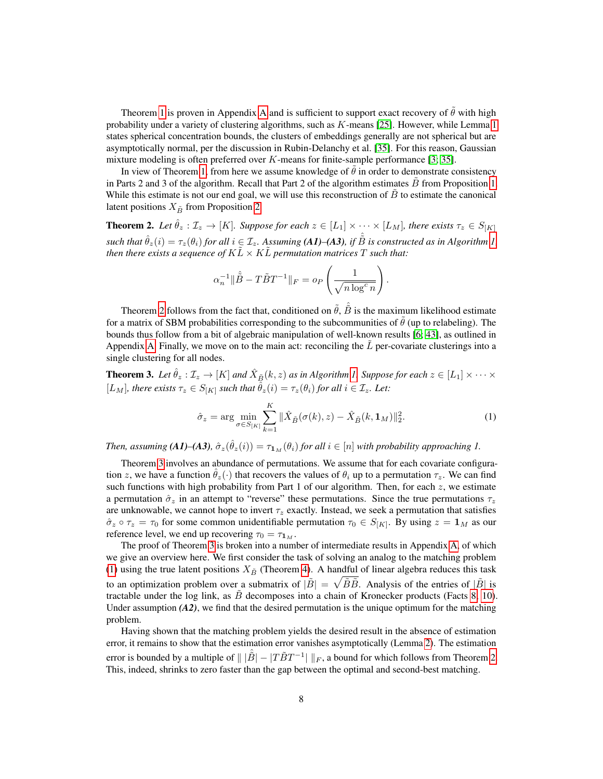Theorem [1](#page-6-2) is proven in [A](#page-13-0)ppendix A and is sufficient to support exact recovery of  $\tilde{\theta}$  with high probability under a variety of clustering algorithms, such as  $K$ -means [\[25\]](#page-11-17). However, while Lemma [1](#page-6-1) states spherical concentration bounds, the clusters of embeddings generally are not spherical but are asymptotically normal, per the discussion in Rubin-Delanchy et al. [\[35\]](#page-11-11). For this reason, Gaussian mixture modeling is often preferred over  $K$ -means for finite-sample performance [\[3;](#page-10-13) [35\]](#page-11-11).

In view of Theorem [1,](#page-6-2) from here we assume knowledge of  $\theta$  in order to demonstrate consistency in Parts 2 and 3 of the algorithm. Recall that Part 2 of the algorithm estimates  $B$  from Proposition [1.](#page-3-0) While this estimate is not our end goal, we will use this reconstruction of  $B$  to estimate the canonical latent positions  $X_{\tilde{B}}$  from Proposition [2.](#page-4-1)

<span id="page-7-0"></span>**Theorem 2.** Let  $\hat{\theta}_z : \mathcal{I}_z \to [K]$ *. Suppose for each*  $z \in [L_1] \times \cdots \times [L_M]$ *, there exists*  $\tau_z \in S_{[K]}$  $s$ uch that  $\hat{\theta}_z(i) = \tau_z(\theta_i)$  for all  $i \in \mathcal{I}_z$ . Assuming **(A1)–(A3)**, if  $\hat{\tilde{B}}$  is constructed as in Algorithm [1,](#page-5-0) *then there exists a sequence of*  $K\ddot{L} \times K\ddot{L}$  *permutation matrices*  $T$  *such that:* 

$$
\alpha_n^{-1} \|\hat{\tilde{B}} - T\tilde{B}T^{-1}\|_F = o_P\left(\frac{1}{\sqrt{n\log^c n}}\right).
$$

Theorem [2](#page-7-0) follows from the fact that, conditioned on  $\tilde{\theta}$ ,  $\hat{\tilde{B}}$  is the maximum likelihood estimate for a matrix of SBM probabilities corresponding to the subcommunities of  $\theta$  (up to relabeling). The bounds thus follow from a bit of algebraic manipulation of well-known results [\[6;](#page-10-15) [43\]](#page-12-11), as outlined in Appendix [A.](#page-13-0) Finally, we move on to the main act: reconciling the  $L$  per-covariate clusterings into a single clustering for all nodes.

<span id="page-7-1"></span>**Theorem 3.** Let  $\hat{\theta}_z : \mathcal{I}_z \to [K]$  and  $\hat{X}_{\tilde{B}}(k, z)$  as in Algorithm [1.](#page-5-0) Suppose for each  $z \in [L_1] \times \cdots \times$ [ $L_M$ ]*, there exists*  $\tau_z \in S_{[K]}$  *such that*  $\hat{\theta}_z(i) = \tau_z(\theta_i)$  *for all*  $i \in \mathcal{I}_z$ *. Let:* 

<span id="page-7-2"></span>
$$
\hat{\sigma}_z = \arg \min_{\sigma \in S_{[K]}} \sum_{k=1}^{K} ||\hat{X}_{\tilde{B}}(\sigma(k), z) - \hat{X}_{\tilde{B}}(k, \mathbf{1}_M)||_2^2.
$$
 (1)

*Then, assuming* (A1)–(A3),  $\hat{\sigma}_z(\hat{\theta}_z(i)) = \tau_{1_M}(\theta_i)$  *for all*  $i \in [n]$  *with probability approaching* 1.

Theorem [3](#page-7-1) involves an abundance of permutations. We assume that for each covariate configuration z, we have a function  $\hat{\theta}_z(\cdot)$  that recovers the values of  $\theta_i$  up to a permutation  $\tau_z$ . We can find such functions with high probability from Part 1 of our algorithm. Then, for each  $z$ , we estimate a permutation  $\hat{\sigma}_z$  in an attempt to "reverse" these permutations. Since the true permutations  $\tau_z$ are unknowable, we cannot hope to invert  $\tau_z$  exactly. Instead, we seek a permutation that satisfies  $\hat{\sigma}_z \circ \tau_z = \tau_0$  for some common unidentifiable permutation  $\tau_0 \in S_{[K]}$ . By using  $z = \mathbf{1}_M$  as our reference level, we end up recovering  $\tau_0 = \tau_{1_M}$ .

The proof of Theorem [3](#page-7-1) is broken into a number of intermediate results in Appendix [A,](#page-13-0) of which we give an overview here. We first consider the task of solving an analog to the matching problem [\(1\)](#page-7-2) using the true latent positions  $X_{\tilde{B}}$  (Theorem [4\)](#page-19-0). A handful of linear algebra reduces this task to an optimization problem over a submatrix of  $|\tilde{B}| = \sqrt{\tilde{B}\tilde{B}}$ . Analysis of the entries of  $|\tilde{B}|$  is tractable under the log link, as  $\tilde{B}$  decomposes into a chain of Kronecker products (Facts [8,](#page-14-0) [10\)](#page-15-0). Under assumption  $(A2)$ , we find that the desired permutation is the unique optimum for the matching problem.

Having shown that the matching problem yields the desired result in the absence of estimation error, it remains to show that the estimation error vanishes asymptotically (Lemma [2\)](#page-20-0). The estimation error is bounded by a multiple of  $\|\ |\hat{B}|-|T\tilde{B}T^{-1}|\ \|_F$ , a bound for which follows from Theorem [2.](#page-7-0) This, indeed, shrinks to zero faster than the gap between the optimal and second-best matching.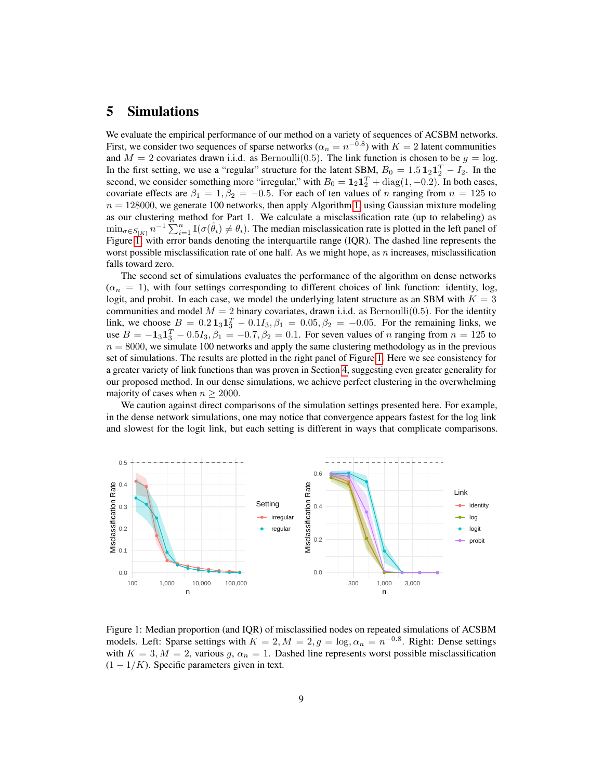### <span id="page-8-0"></span>5 Simulations

We evaluate the empirical performance of our method on a variety of sequences of ACSBM networks. First, we consider two sequences of sparse networks ( $\alpha_n = n^{-0.8}$ ) with  $K = 2$  latent communities and  $M = 2$  covariates drawn i.i.d. as Bernoulli(0.5). The link function is chosen to be  $g = \log a$ . In the first setting, we use a "regular" structure for the latent SBM,  $B_0 = 1.5 \mathbf{1}_2 \mathbf{1}_2^T - I_2$ . In the second, we consider something more "irregular," with  $B_0 = \mathbf{1}_2 \mathbf{1}_2^T + \text{diag}(1, -0.2)$ . In both cases, covariate effects are  $\beta_1 = 1, \beta_2 = -0.5$ . For each of ten values of n ranging from  $n = 125$  to  $n = 128000$ , we generate 100 networks, then apply Algorithm [1,](#page-5-0) using Gaussian mixture modeling as our clustering method for Part 1. We calculate a misclassification rate (up to relabeling) as  $\min_{\sigma \in S_{[K]}} n^{-1} \sum_{i=1}^n \mathbb{I}(\sigma(\hat{\theta}_i) \neq \theta_i)$ . The median misclassication rate is plotted in the left panel of Figure [1,](#page-8-1) with error bands denoting the interquartile range (IQR). The dashed line represents the worst possible misclassification rate of one half. As we might hope, as n increases, misclassification falls toward zero.

The second set of simulations evaluates the performance of the algorithm on dense networks  $(\alpha_n = 1)$ , with four settings corresponding to different choices of link function: identity, log, logit, and probit. In each case, we model the underlying latent structure as an SBM with  $K = 3$ communities and model  $M = 2$  binary covariates, drawn i.i.d. as Bernoulli(0.5). For the identity link, we choose  $B = 0.2 \mathbf{1}_3 \mathbf{1}_3^T - 0.1 I_3$ ,  $\beta_1 = 0.05$ ,  $\beta_2 = -0.05$ . For the remaining links, we use  $B = -1_{3}1_{3}^{T} - 0.5I_{3}$ ,  $\beta_{1} = -0.7$ ,  $\beta_{2} = 0.1$ . For seven values of n ranging from  $n = 125$  to  $n = 8000$ , we simulate 100 networks and apply the same clustering methodology as in the previous set of simulations. The results are plotted in the right panel of Figure [1.](#page-8-1) Here we see consistency for a greater variety of link functions than was proven in Section [4,](#page-6-0) suggesting even greater generality for our proposed method. In our dense simulations, we achieve perfect clustering in the overwhelming majority of cases when  $n \geq 2000$ .

We caution against direct comparisons of the simulation settings presented here. For example, in the dense network simulations, one may notice that convergence appears fastest for the log link and slowest for the logit link, but each setting is different in ways that complicate comparisons.



<span id="page-8-1"></span>Figure 1: Median proportion (and IQR) of misclassified nodes on repeated simulations of ACSBM models. Left: Sparse settings with  $K = 2, M = 2, g = \log_{2} \alpha_{n} = n^{-0.8}$ . Right: Dense settings with  $K = 3, M = 2$ , various  $g, \alpha_n = 1$ . Dashed line represents worst possible misclassification  $(1 - 1/K)$ . Specific parameters given in text.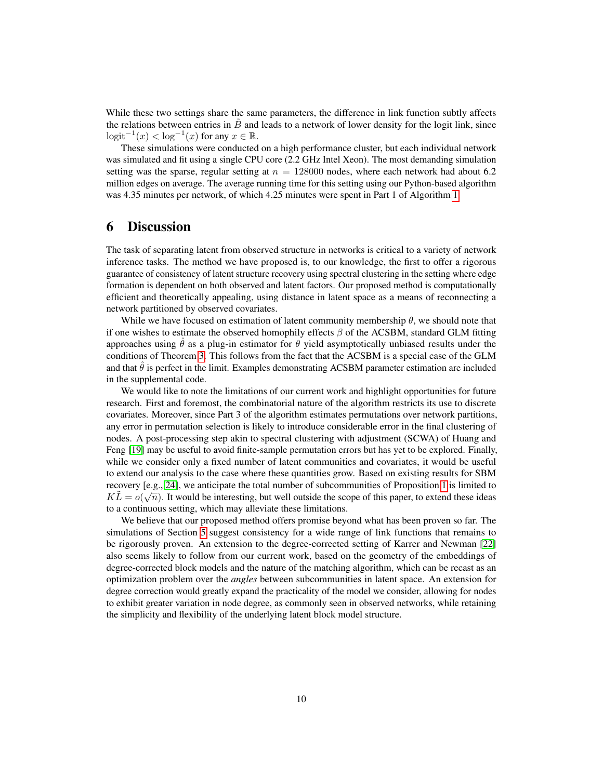While these two settings share the same parameters, the difference in link function subtly affects the relations between entries in  $\tilde{B}$  and leads to a network of lower density for the logit link, since  $\text{logit}^{-1}(x) < \text{log}^{-1}(x)$  for any  $x \in \mathbb{R}$ .

These simulations were conducted on a high performance cluster, but each individual network was simulated and fit using a single CPU core (2.2 GHz Intel Xeon). The most demanding simulation setting was the sparse, regular setting at  $n = 128000$  nodes, where each network had about 6.2 million edges on average. The average running time for this setting using our Python-based algorithm was 4.35 minutes per network, of which 4.25 minutes were spent in Part 1 of Algorithm [1.](#page-5-0)

# <span id="page-9-0"></span>6 Discussion

The task of separating latent from observed structure in networks is critical to a variety of network inference tasks. The method we have proposed is, to our knowledge, the first to offer a rigorous guarantee of consistency of latent structure recovery using spectral clustering in the setting where edge formation is dependent on both observed and latent factors. Our proposed method is computationally efficient and theoretically appealing, using distance in latent space as a means of reconnecting a network partitioned by observed covariates.

While we have focused on estimation of latent community membership  $\theta$ , we should note that if one wishes to estimate the observed homophily effects  $\beta$  of the ACSBM, standard GLM fitting approaches using  $\hat{\theta}$  as a plug-in estimator for  $\theta$  yield asymptotically unbiased results under the conditions of Theorem [3.](#page-7-1) This follows from the fact that the ACSBM is a special case of the GLM and that  $\hat{\theta}$  is perfect in the limit. Examples demonstrating ACSBM parameter estimation are included in the supplemental code.

We would like to note the limitations of our current work and highlight opportunities for future research. First and foremost, the combinatorial nature of the algorithm restricts its use to discrete covariates. Moreover, since Part 3 of the algorithm estimates permutations over network partitions, any error in permutation selection is likely to introduce considerable error in the final clustering of nodes. A post-processing step akin to spectral clustering with adjustment (SCWA) of Huang and Feng [\[19\]](#page-10-9) may be useful to avoid finite-sample permutation errors but has yet to be explored. Finally, while we consider only a fixed number of latent communities and covariates, it would be useful to extend our analysis to the case where these quantities grow. Based on existing results for SBM recovery [e.g., [24\]](#page-11-10), we anticipate the total number of subcommunities of Proposition [1](#page-3-0) is limited to  $K\tilde{L} = o(\sqrt{n})$ . It would be interesting, but well outside the scope of this paper, to extend these ideas to a continuous setting, which may alleviate these limitations.

We believe that our proposed method offers promise beyond what has been proven so far. The simulations of Section [5](#page-8-0) suggest consistency for a wide range of link functions that remains to be rigorously proven. An extension to the degree-corrected setting of Karrer and Newman [\[22\]](#page-11-16) also seems likely to follow from our current work, based on the geometry of the embeddings of degree-corrected block models and the nature of the matching algorithm, which can be recast as an optimization problem over the *angles* between subcommunities in latent space. An extension for degree correction would greatly expand the practicality of the model we consider, allowing for nodes to exhibit greater variation in node degree, as commonly seen in observed networks, while retaining the simplicity and flexibility of the underlying latent block model structure.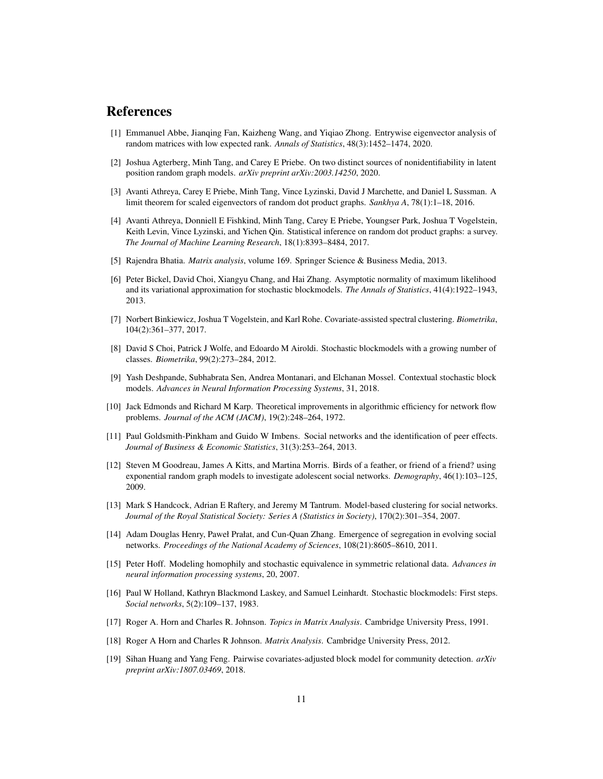### References

- <span id="page-10-3"></span>[1] Emmanuel Abbe, Jianqing Fan, Kaizheng Wang, and Yiqiao Zhong. Entrywise eigenvector analysis of random matrices with low expected rank. *Annals of Statistics*, 48(3):1452–1474, 2020.
- <span id="page-10-12"></span>[2] Joshua Agterberg, Minh Tang, and Carey E Priebe. On two distinct sources of nonidentifiability in latent position random graph models. *arXiv preprint arXiv:2003.14250*, 2020.
- <span id="page-10-13"></span>[3] Avanti Athreya, Carey E Priebe, Minh Tang, Vince Lyzinski, David J Marchette, and Daniel L Sussman. A limit theorem for scaled eigenvectors of random dot product graphs. *Sankhya A*, 78(1):1–18, 2016.
- <span id="page-10-11"></span>[4] Avanti Athreya, Donniell E Fishkind, Minh Tang, Carey E Priebe, Youngser Park, Joshua T Vogelstein, Keith Levin, Vince Lyzinski, and Yichen Qin. Statistical inference on random dot product graphs: a survey. *The Journal of Machine Learning Research*, 18(1):8393–8484, 2017.
- <span id="page-10-17"></span>[5] Rajendra Bhatia. *Matrix analysis*, volume 169. Springer Science & Business Media, 2013.
- <span id="page-10-15"></span>[6] Peter Bickel, David Choi, Xiangyu Chang, and Hai Zhang. Asymptotic normality of maximum likelihood and its variational approximation for stochastic blockmodels. *The Annals of Statistics*, 41(4):1922–1943, 2013.
- <span id="page-10-4"></span>[7] Norbert Binkiewicz, Joshua T Vogelstein, and Karl Rohe. Covariate-assisted spectral clustering. *Biometrika*, 104(2):361–377, 2017.
- <span id="page-10-8"></span>[8] David S Choi, Patrick J Wolfe, and Edoardo M Airoldi. Stochastic blockmodels with a growing number of classes. *Biometrika*, 99(2):273–284, 2012.
- <span id="page-10-5"></span>[9] Yash Deshpande, Subhabrata Sen, Andrea Montanari, and Elchanan Mossel. Contextual stochastic block models. *Advances in Neural Information Processing Systems*, 31, 2018.
- <span id="page-10-14"></span>[10] Jack Edmonds and Richard M Karp. Theoretical improvements in algorithmic efficiency for network flow problems. *Journal of the ACM (JACM)*, 19(2):248–264, 1972.
- <span id="page-10-0"></span>[11] Paul Goldsmith-Pinkham and Guido W Imbens. Social networks and the identification of peer effects. *Journal of Business & Economic Statistics*, 31(3):253–264, 2013.
- <span id="page-10-10"></span>[12] Steven M Goodreau, James A Kitts, and Martina Morris. Birds of a feather, or friend of a friend? using exponential random graph models to investigate adolescent social networks. *Demography*, 46(1):103–125, 2009.
- <span id="page-10-7"></span>[13] Mark S Handcock, Adrian E Raftery, and Jeremy M Tantrum. Model-based clustering for social networks. *Journal of the Royal Statistical Society: Series A (Statistics in Society)*, 170(2):301–354, 2007.
- <span id="page-10-1"></span>[14] Adam Douglas Henry, Paweł Prałat, and Cun-Quan Zhang. Emergence of segregation in evolving social networks. *Proceedings of the National Academy of Sciences*, 108(21):8605–8610, 2011.
- <span id="page-10-6"></span>[15] Peter Hoff. Modeling homophily and stochastic equivalence in symmetric relational data. *Advances in neural information processing systems*, 20, 2007.
- <span id="page-10-2"></span>[16] Paul W Holland, Kathryn Blackmond Laskey, and Samuel Leinhardt. Stochastic blockmodels: First steps. *Social networks*, 5(2):109–137, 1983.
- <span id="page-10-18"></span>[17] Roger A. Horn and Charles R. Johnson. *Topics in Matrix Analysis*. Cambridge University Press, 1991.
- <span id="page-10-16"></span>[18] Roger A Horn and Charles R Johnson. *Matrix Analysis*. Cambridge University Press, 2012.
- <span id="page-10-9"></span>[19] Sihan Huang and Yang Feng. Pairwise covariates-adjusted block model for community detection. *arXiv preprint arXiv:1807.03469*, 2018.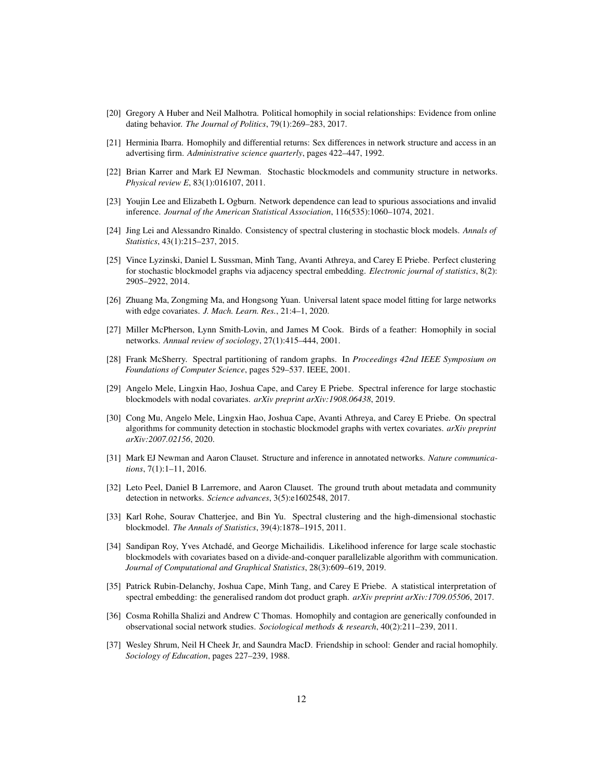- <span id="page-11-5"></span>[20] Gregory A Huber and Neil Malhotra. Political homophily in social relationships: Evidence from online dating behavior. *The Journal of Politics*, 79(1):269–283, 2017.
- <span id="page-11-4"></span>[21] Herminia Ibarra. Homophily and differential returns: Sex differences in network structure and access in an advertising firm. *Administrative science quarterly*, pages 422–447, 1992.
- <span id="page-11-16"></span>[22] Brian Karrer and Mark EJ Newman. Stochastic blockmodels and community structure in networks. *Physical review E*, 83(1):016107, 2011.
- <span id="page-11-2"></span>[23] Youjin Lee and Elizabeth L Ogburn. Network dependence can lead to spurious associations and invalid inference. *Journal of the American Statistical Association*, 116(535):1060–1074, 2021.
- <span id="page-11-10"></span>[24] Jing Lei and Alessandro Rinaldo. Consistency of spectral clustering in stochastic block models. *Annals of Statistics*, 43(1):215–237, 2015.
- <span id="page-11-17"></span>[25] Vince Lyzinski, Daniel L Sussman, Minh Tang, Avanti Athreya, and Carey E Priebe. Perfect clustering for stochastic blockmodel graphs via adjacency spectral embedding. *Electronic journal of statistics*, 8(2): 2905–2922, 2014.
- <span id="page-11-14"></span>[26] Zhuang Ma, Zongming Ma, and Hongsong Yuan. Universal latent space model fitting for large networks with edge covariates. *J. Mach. Learn. Res.*, 21:4–1, 2020.
- <span id="page-11-0"></span>[27] Miller McPherson, Lynn Smith-Lovin, and James M Cook. Birds of a feather: Homophily in social networks. *Annual review of sociology*, 27(1):415–444, 2001.
- <span id="page-11-8"></span>[28] Frank McSherry. Spectral partitioning of random graphs. In *Proceedings 42nd IEEE Symposium on Foundations of Computer Science*, pages 529–537. IEEE, 2001.
- <span id="page-11-7"></span>[29] Angelo Mele, Lingxin Hao, Joshua Cape, and Carey E Priebe. Spectral inference for large stochastic blockmodels with nodal covariates. *arXiv preprint arXiv:1908.06438*, 2019.
- <span id="page-11-15"></span>[30] Cong Mu, Angelo Mele, Lingxin Hao, Joshua Cape, Avanti Athreya, and Carey E Priebe. On spectral algorithms for community detection in stochastic blockmodel graphs with vertex covariates. *arXiv preprint arXiv:2007.02156*, 2020.
- <span id="page-11-12"></span>[31] Mark EJ Newman and Aaron Clauset. Structure and inference in annotated networks. *Nature communications*, 7(1):1–11, 2016.
- <span id="page-11-6"></span>[32] Leto Peel, Daniel B Larremore, and Aaron Clauset. The ground truth about metadata and community detection in networks. *Science advances*, 3(5):e1602548, 2017.
- <span id="page-11-9"></span>[33] Karl Rohe, Sourav Chatterjee, and Bin Yu. Spectral clustering and the high-dimensional stochastic blockmodel. *The Annals of Statistics*, 39(4):1878–1915, 2011.
- <span id="page-11-13"></span>[34] Sandipan Roy, Yves Atchadé, and George Michailidis. Likelihood inference for large scale stochastic blockmodels with covariates based on a divide-and-conquer parallelizable algorithm with communication. *Journal of Computational and Graphical Statistics*, 28(3):609–619, 2019.
- <span id="page-11-11"></span>[35] Patrick Rubin-Delanchy, Joshua Cape, Minh Tang, and Carey E Priebe. A statistical interpretation of spectral embedding: the generalised random dot product graph. *arXiv preprint arXiv:1709.05506*, 2017.
- <span id="page-11-1"></span>[36] Cosma Rohilla Shalizi and Andrew C Thomas. Homophily and contagion are generically confounded in observational social network studies. *Sociological methods & research*, 40(2):211–239, 2011.
- <span id="page-11-3"></span>[37] Wesley Shrum, Neil H Cheek Jr, and Saundra MacD. Friendship in school: Gender and racial homophily. *Sociology of Education*, pages 227–239, 1988.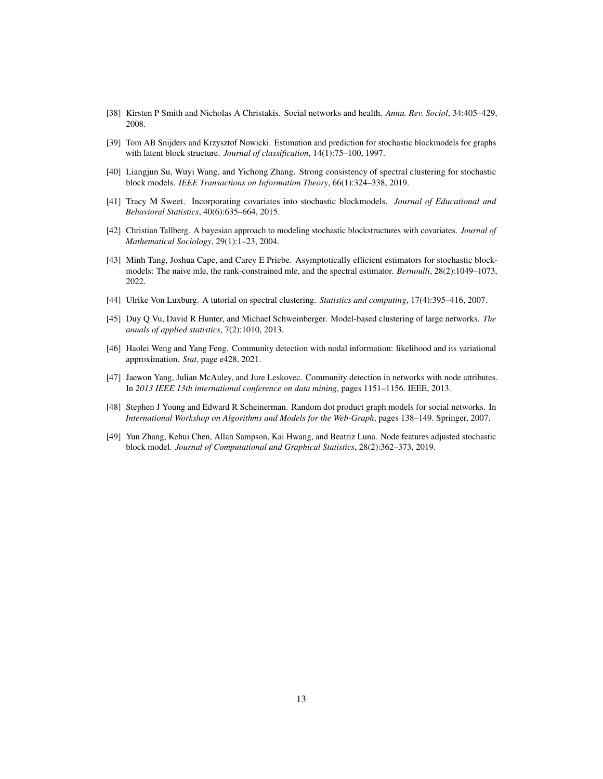- <span id="page-12-0"></span>[38] Kirsten P Smith and Nicholas A Christakis. Social networks and health. *Annu. Rev. Sociol*, 34:405–429, 2008.
- <span id="page-12-10"></span>[39] Tom AB Snijders and Krzysztof Nowicki. Estimation and prediction for stochastic blockmodels for graphs with latent block structure. *Journal of classification*, 14(1):75–100, 1997.
- <span id="page-12-2"></span>[40] Liangjun Su, Wuyi Wang, and Yichong Zhang. Strong consistency of spectral clustering for stochastic block models. *IEEE Transactions on Information Theory*, 66(1):324–338, 2019.
- <span id="page-12-8"></span>[41] Tracy M Sweet. Incorporating covariates into stochastic blockmodels. *Journal of Educational and Behavioral Statistics*, 40(6):635–664, 2015.
- <span id="page-12-5"></span>[42] Christian Tallberg. A bayesian approach to modeling stochastic blockstructures with covariates. *Journal of Mathematical Sociology*, 29(1):1–23, 2004.
- <span id="page-12-11"></span>[43] Minh Tang, Joshua Cape, and Carey E Priebe. Asymptotically efficient estimators for stochastic blockmodels: The naive mle, the rank-constrained mle, and the spectral estimator. *Bernoulli*, 28(2):1049–1073, 2022.
- <span id="page-12-1"></span>[44] Ulrike Von Luxburg. A tutorial on spectral clustering. *Statistics and computing*, 17(4):395–416, 2007.
- <span id="page-12-7"></span>[45] Duy Q Vu, David R Hunter, and Michael Schweinberger. Model-based clustering of large networks. *The annals of applied statistics*, 7(2):1010, 2013.
- <span id="page-12-6"></span>[46] Haolei Weng and Yang Feng. Community detection with nodal information: likelihood and its variational approximation. *Stat*, page e428, 2021.
- <span id="page-12-4"></span>[47] Jaewon Yang, Julian McAuley, and Jure Leskovec. Community detection in networks with node attributes. In *2013 IEEE 13th international conference on data mining*, pages 1151–1156. IEEE, 2013.
- <span id="page-12-3"></span>[48] Stephen J Young and Edward R Scheinerman. Random dot product graph models for social networks. In *International Workshop on Algorithms and Models for the Web-Graph*, pages 138–149. Springer, 2007.
- <span id="page-12-9"></span>[49] Yun Zhang, Kehui Chen, Allan Sampson, Kai Hwang, and Beatriz Luna. Node features adjusted stochastic block model. *Journal of Computational and Graphical Statistics*, 28(2):362–373, 2019.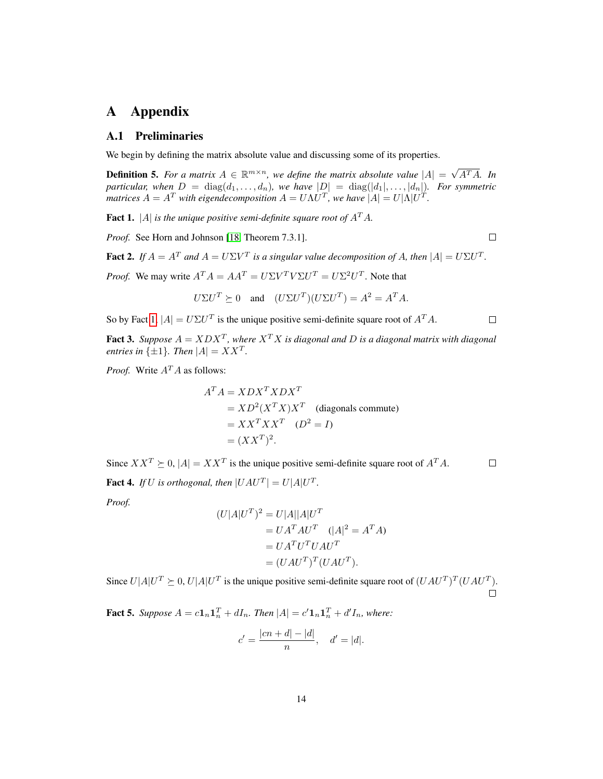# <span id="page-13-0"></span>A Appendix

### A.1 Preliminaries

We begin by defining the matrix absolute value and discussing some of its properties.

**Definition 5.** For a matrix  $A \in \mathbb{R}^{m \times n}$ , we define the matrix absolute value  $|A| = \sqrt{\frac{mA}{n}}$ A<sup>T</sup> A*. In particular, when*  $D = \text{diag}(d_1, \ldots, d_n)$ *, we have*  $|D| = \text{diag}(|d_1|, \ldots, |d_n|)$ *. For symmetric matrices*  $A = A^T$  with eigendecomposition  $A = U\Lambda U^T$ , we have  $|A| = U|\Lambda|U^T$ .

<span id="page-13-1"></span>**Fact 1.** |A| *is the unique positive semi-definite square root of*  $A<sup>T</sup>A$ *.* 

*Proof.* See Horn and Johnson [\[18,](#page-10-16) Theorem 7.3.1].

 $\Box$ 

 $\Box$ 

 $\Box$ 

<span id="page-13-3"></span>**Fact 2.** If  $A = A^T$  and  $A = U\Sigma V^T$  is a singular value decomposition of A, then  $|A| = U\Sigma U^T$ .

*Proof.* We may write  $A^T A = A A^T = U \Sigma V^T V \Sigma U^T = U \Sigma^2 U^T$ . Note that

$$
U\Sigma U^T \succeq 0
$$
 and  $(U\Sigma U^T)(U\Sigma U^T) = A^2 = A^T A$ .

So by Fact [1,](#page-13-1)  $|A| = U\Sigma U^T$  is the unique positive semi-definite square root of  $A^T A$ .

<span id="page-13-4"></span>**Fact 3.** Suppose  $A = XDX^T$ , where  $X^T X$  is diagonal and D is a diagonal matrix with diagonal *entries in*  $\{\pm 1\}$ *. Then*  $|A| = XX^T$ *.* 

*Proof.* Write  $A<sup>T</sup>A$  as follows:

$$
AT A = XDXT XDXT
$$
  
=  $XD2(XTX)XT$  (diagonals commute)  
=  $XXT XXT$  ( $D2 = I$ )  
=  $(XXT)2$ .

Since  $XX^T \succeq 0$ ,  $|A| = XX^T$  is the unique positive semi-definite square root of  $A^T A$ .

<span id="page-13-5"></span>**Fact 4.** If U is orthogonal, then  $|UAU^T| = U|A|U^T$ .

*Proof.*

$$
(U|A|UT)2 = U|A||A|UT
$$
  
=  $UATAUT$  ( $|A|2 = ATA$ )  
=  $UATUTUAUT$   
=  $(UAUT)T(UAUT)$ .

Since  $U|A|U^T \succeq 0$ ,  $U|A|U^T$  is the unique positive semi-definite square root of  $(UAU^T)^T(UAU^T)$ .  $\Box$ 

<span id="page-13-2"></span>**Fact 5.** Suppose  $A = c\mathbf{1}_n \mathbf{1}_n^T + dI_n$ . Then  $|A| = c'\mathbf{1}_n \mathbf{1}_n^T + d'I_n$ , where:

$$
c' = \frac{|cn + d| - |d|}{n}
$$
,  $d' = |d|$ .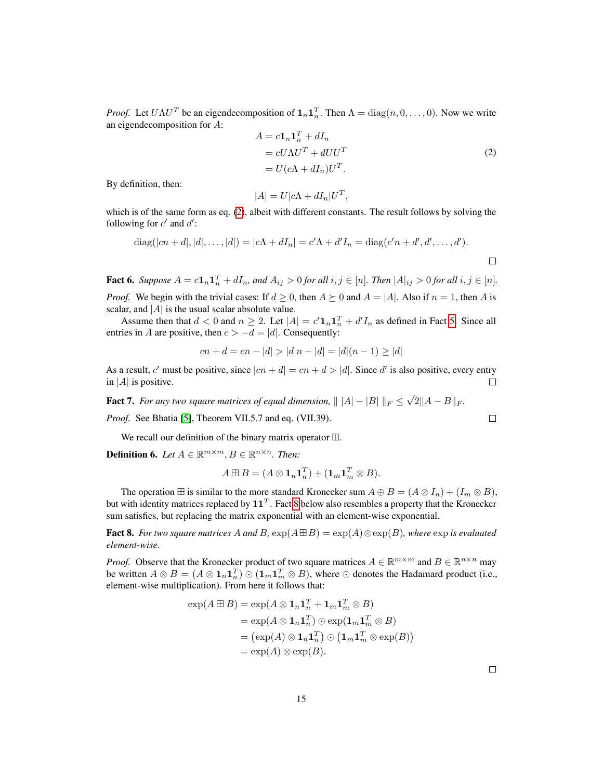*Proof.* Let  $U\Lambda U^T$  be an eigendecomposition of  $\mathbf{1}_n \mathbf{1}_n^T$ . Then  $\Lambda = \text{diag}(n, 0, \dots, 0)$ . Now we write an eigendecomposition for A:

<span id="page-14-1"></span>
$$
A = c\mathbf{1}_n \mathbf{1}_n^T + dI_n
$$
  
=  $cU\Lambda U^T + dUU^T$   
=  $U(c\Lambda + dI_n)U^T$ . (2)

By definition, then:

$$
|A| = U|c\Lambda + dI_n|U^T,
$$

which is of the same form as eq. [\(2\)](#page-14-1), albeit with different constants. The result follows by solving the following for  $c'$  and  $d'$ :

diag(
$$
|cn + d|, |d|, ..., |d|
$$
) =  $|c\Lambda + dI_n| = c'\Lambda + d'I_n = \text{diag}(c'n + d', d', ..., d').$ 

<span id="page-14-2"></span>**Fact 6.** Suppose  $A = c\mathbf{1}_n\mathbf{1}_n^T + dI_n$ , and  $A_{ij} > 0$  for all  $i, j \in [n]$ . Then  $|A|_{ij} > 0$  for all  $i, j \in [n]$ . *Proof.* We begin with the trivial cases: If  $d \ge 0$ , then  $A \succeq 0$  and  $A = |A|$ . Also if  $n = 1$ , then A is scalar, and  $|A|$  is the usual scalar absolute value.

Assume then that  $d < 0$  and  $n \ge 2$ . Let  $|A| = c' \mathbf{1}_n \mathbf{1}_n^T + d' I_n$  as defined in Fact [5.](#page-13-2) Since all entries in A are positive, then  $c > -d = |d|$ . Consequently:

$$
cn + d = cn - |d| > |d|n - |d| = |d|(n - 1) \ge |d|
$$

As a result, c' must be positive, since  $|cn + d| = cn + d > |d|$ . Since d' is also positive, every entry in | $A$ | is positive. П

<span id="page-14-3"></span>**Fact 7.** For any two square matrices of equal dimension,  $|| |A| - |B| ||_F \le$ √  $2||A - B||_F.$ 

*Proof.* See Bhatia [\[5\]](#page-10-17), Theorem VII.5.7 and eq. (VII.39).

We recall our definition of the binary matrix operator  $\boxplus$ .

**Definition 6.** Let  $A \in \mathbb{R}^{m \times m}$ ,  $B \in \mathbb{R}^{n \times n}$ . Then:

$$
A \boxplus B = (A \otimes \mathbf{1}_n \mathbf{1}_n^T) + (\mathbf{1}_m \mathbf{1}_m^T \otimes B).
$$

The operation  $\boxplus$  is similar to the more standard Kronecker sum  $A \oplus B = (A \otimes I_n) + (I_m \otimes B)$ , but with identity matrices replaced by  $11^T$  . Fact [8](#page-14-0) below also resembles a property that the Kronecker sum satisfies, but replacing the matrix exponential with an element-wise exponential.

<span id="page-14-0"></span>**Fact 8.** *For two square matrices* A and B,  $\exp(A \boxplus B) = \exp(A) \otimes \exp(B)$ *, where*  $\exp$  *is evaluated element-wise.*

*Proof.* Observe that the Kronecker product of two square matrices  $A \in \mathbb{R}^{m \times m}$  and  $B \in \mathbb{R}^{n \times n}$  may be written  $A \otimes B = (A \otimes 1_n 1_n^T) \odot (1_m 1_m^T \otimes B)$ , where  $\odot$  denotes the Hadamard product (i.e., element-wise multiplication). From here it follows that:

$$
\exp(A \boxplus B) = \exp(A \otimes \mathbf{1}_n \mathbf{1}_n^T + \mathbf{1}_m \mathbf{1}_m^T \otimes B)
$$
  
= 
$$
\exp(A \otimes \mathbf{1}_n \mathbf{1}_n^T) \odot \exp(\mathbf{1}_m \mathbf{1}_m^T \otimes B)
$$
  
= 
$$
(\exp(A) \otimes \mathbf{1}_n \mathbf{1}_n^T) \odot (\mathbf{1}_m \mathbf{1}_m^T \otimes \exp(B))
$$
  
= 
$$
\exp(A) \otimes \exp(B).
$$

 $\Box$ 

 $\Box$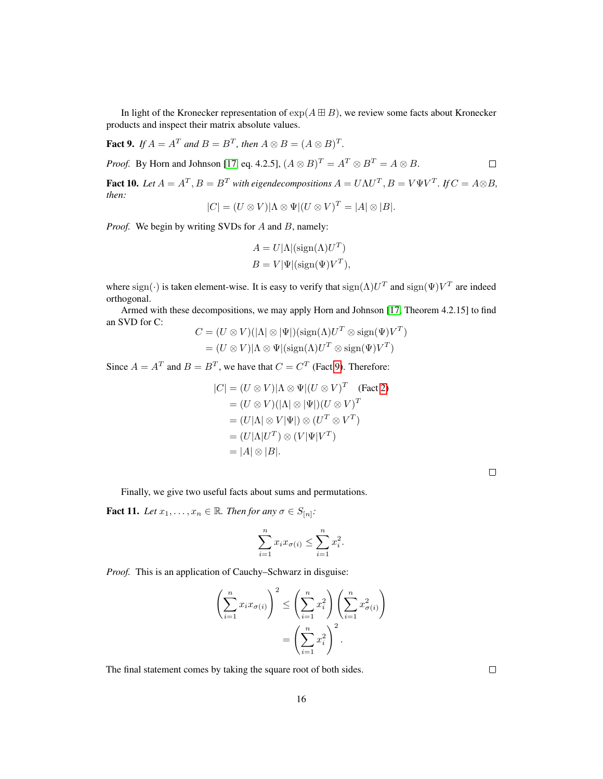In light of the Kronecker representation of  $\exp(A \boxplus B)$ , we review some facts about Kronecker products and inspect their matrix absolute values.

<span id="page-15-1"></span>**Fact 9.** If  $A = A^T$  and  $B = B^T$ , then  $A \otimes B = (A \otimes B)^T$ . *Proof.* By Horn and Johnson [\[17,](#page-10-18) eq. 4.2.5],  $(A \otimes B)^{T} = A^{T} \otimes B^{T} = A \otimes B$ .  $\Box$ 

<span id="page-15-0"></span>**Fact 10.** Let  $A = A^T$ ,  $B = B^T$  with eigendecompositions  $A = U \Lambda U^T$ ,  $B = V \Psi V^T$ . If  $C = A \otimes B$ , *then:*

$$
|C| = (U \otimes V)|\Lambda \otimes \Psi|(U \otimes V)^{T} = |A| \otimes |B|.
$$

*Proof.* We begin by writing SVDs for A and B, namely:

$$
A = U|\Lambda|(\text{sign}(\Lambda)U^{T})
$$
  

$$
B = V|\Psi|(\text{sign}(\Psi)V^{T}),
$$

where  $sign(\cdot)$  is taken element-wise. It is easy to verify that  $sign(\Lambda)U^T$  and  $sign(\Psi)V^T$  are indeed orthogonal.

Armed with these decompositions, we may apply Horn and Johnson [\[17,](#page-10-18) Theorem 4.2.15] to find an SVD for C:

$$
C = (U \otimes V)(|\Lambda| \otimes |\Psi|)(\text{sign}(\Lambda)U^T \otimes \text{sign}(\Psi)V^T)
$$
  
= 
$$
(U \otimes V)|\Lambda \otimes \Psi|(\text{sign}(\Lambda)U^T \otimes \text{sign}(\Psi)V^T)
$$

Since  $A = A^T$  and  $B = B^T$ , we have that  $C = C^T$  (Fact [9\)](#page-15-1). Therefore:

$$
|C| = (U \otimes V)|\Lambda \otimes \Psi|(U \otimes V)^T \quad \text{(Fact 2)}
$$
  
=  $(U \otimes V)(|\Lambda| \otimes |\Psi|)(U \otimes V)^T$   
=  $(U|\Lambda| \otimes V|\Psi|) \otimes (U^T \otimes V^T)$   
=  $(U|\Lambda|U^T) \otimes (V|\Psi|V^T)$   
=  $|A| \otimes |B|$ .

Finally, we give two useful facts about sums and permutations.

<span id="page-15-2"></span>**Fact 11.** Let  $x_1, \ldots, x_n \in \mathbb{R}$ . Then for any  $\sigma \in S_{[n]}$ :

$$
\sum_{i=1}^{n} x_i x_{\sigma(i)} \le \sum_{i=1}^{n} x_i^2.
$$

*Proof.* This is an application of Cauchy–Schwarz in disguise:

$$
\left(\sum_{i=1}^{n} x_i x_{\sigma(i)}\right)^2 \le \left(\sum_{i=1}^{n} x_i^2\right) \left(\sum_{i=1}^{n} x_{\sigma(i)}^2\right)
$$

$$
= \left(\sum_{i=1}^{n} x_i^2\right)^2.
$$

The final statement comes by taking the square root of both sides.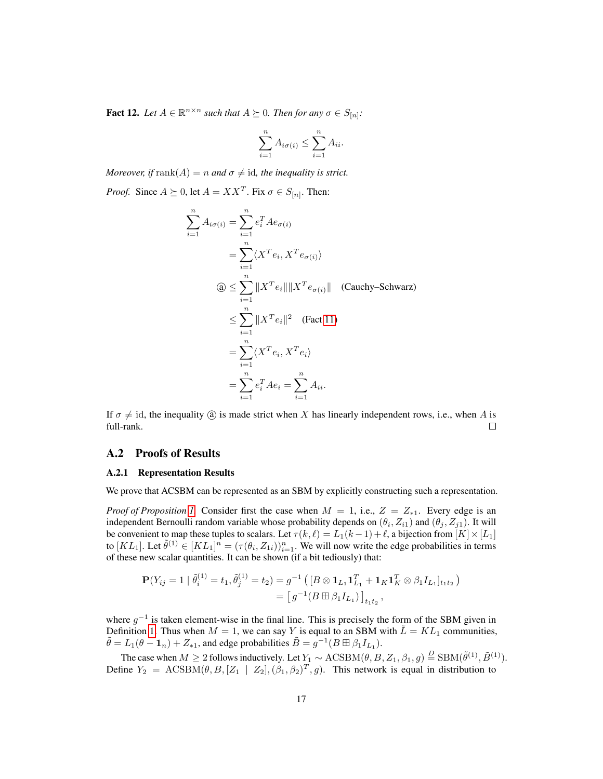<span id="page-16-0"></span>**Fact 12.** Let  $A \in \mathbb{R}^{n \times n}$  such that  $A \succeq 0$ . Then for any  $\sigma \in S_{[n]}$ :

$$
\sum_{i=1}^{n} A_{i\sigma(i)} \leq \sum_{i=1}^{n} A_{ii}.
$$

*Moreover, if* rank $(A) = n$  *and*  $\sigma \neq id$ *, the inequality is strict.* 

*Proof.* Since  $A \succeq 0$ , let  $A = XX^T$ . Fix  $\sigma \in S_{[n]}$ . Then:

$$
\sum_{i=1}^{n} A_{i\sigma(i)} = \sum_{i=1}^{n} e_i^T A e_{\sigma(i)}
$$
  
\n
$$
= \sum_{i=1}^{n} \langle X^T e_i, X^T e_{\sigma(i)} \rangle
$$
  
\n
$$
\textcircled{3} \leq \sum_{i=1}^{n} \|X^T e_i\| \|X^T e_{\sigma(i)}\| \quad \text{(Cauchy–Schwarz)}
$$
  
\n
$$
\leq \sum_{i=1}^{n} \|X^T e_i\|^2 \quad \text{(Fact 11)}
$$
  
\n
$$
= \sum_{i=1}^{n} \langle X^T e_i, X^T e_i \rangle
$$
  
\n
$$
= \sum_{i=1}^{n} e_i^T A e_i = \sum_{i=1}^{n} A_{ii}.
$$

If  $\sigma \neq id$ , the inequality (a) is made strict when X has linearly independent rows, i.e., when A is full-rank.  $\Box$ 

### A.2 Proofs of Results

#### A.2.1 Representation Results

We prove that ACSBM can be represented as an SBM by explicitly constructing such a representation.

*Proof of Proposition [1.](#page-3-0)* Consider first the case when  $M = 1$ , i.e.,  $Z = Z_{*1}$ . Every edge is an independent Bernoulli random variable whose probability depends on  $(\theta_i, Z_{i1})$  and  $(\theta_j, Z_{j1})$ . It will be convenient to map these tuples to scalars. Let  $\tau(k, \ell) = L_1(k-1) + \ell$ , a bijection from  $[K] \times [L_1]$ to  $[KL_1]$ . Let  $\tilde{\theta}^{(1)} \in [KL_1]^n = (\tau(\theta_i, Z_{1i}))_{i=1}^n$ . We will now write the edge probabilities in terms of these new scalar quantities. It can be shown (if a bit tediously) that:

$$
\mathbf{P}(Y_{ij} = 1 | \tilde{\theta}_{i}^{(1)} = t_1, \tilde{\theta}_{j}^{(1)} = t_2) = g^{-1} ([B \otimes \mathbf{1}_{L_1} \mathbf{1}_{L_1}^T + \mathbf{1}_K \mathbf{1}_K^T \otimes \beta_1 I_{L_1}]_{t_1 t_2})
$$
  
=  $[g^{-1}(B \boxplus \beta_1 I_{L_1})]_{t_1 t_2}$ ,

where  $g^{-1}$  is taken element-wise in the final line. This is precisely the form of the SBM given in Definition [1.](#page-2-1) Thus when  $M = 1$ , we can say Y is equal to an SBM with  $\hat{L} = KL_1$  communities,  $\tilde{\theta} = L_1(\theta - \mathbf{1}_n) + Z_{*1}$ , and edge probabilities  $\tilde{B} = g^{-1}(B \boxplus \beta_1 I_{L_1})$ .

The case when  $M \ge 2$  follows inductively. Let  $Y_1 \sim \text{ACSBM}(\theta, B, Z_1, \beta_1, g) \stackrel{D}{=} \text{SBM}(\tilde{\theta}^{(1)}, \tilde{B}^{(1)})$ . Define  $Y_2 = \text{ACSBM}(\theta, B, [Z_1 | Z_2], (\beta_1, \beta_2)^T, g)$ . This network is equal in distribution to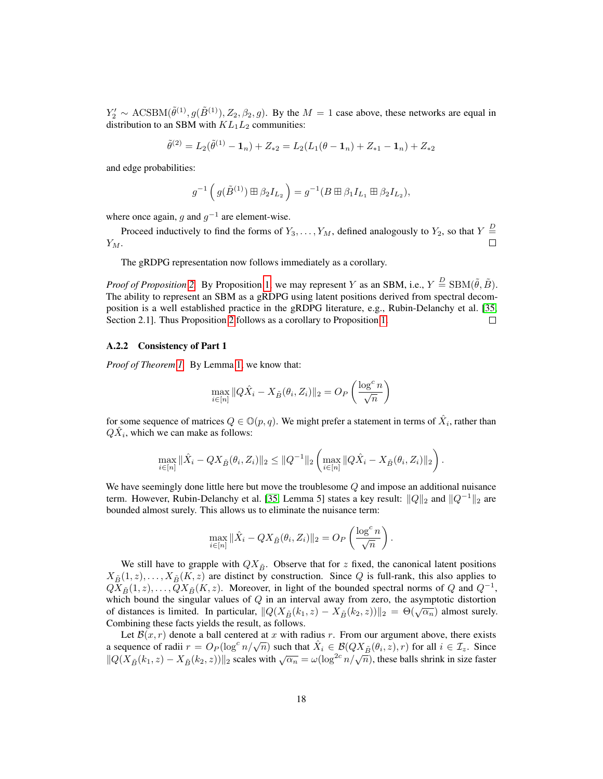$Y'_2 \sim \text{ACSBM}(\tilde{\theta}^{(1)}, g(\tilde{B}^{(1)}), Z_2, \beta_2, g)$ . By the  $M = 1$  case above, these networks are equal in distribution to an SBM with  $KL_1L_2$  communities:

$$
\tilde{\theta}^{(2)} = L_2(\tilde{\theta}^{(1)} - \mathbf{1}_n) + Z_{*2} = L_2(L_1(\theta - \mathbf{1}_n) + Z_{*1} - \mathbf{1}_n) + Z_{*2}
$$

and edge probabilities:

$$
g^{-1}\left(g(\tilde{B}^{(1)})\boxplus \beta_2 I_{L_2}\right) = g^{-1}(B \boxplus \beta_1 I_{L_1} \boxplus \beta_2 I_{L_2}),
$$

where once again, g and  $g^{-1}$  are element-wise.

Proceed inductively to find the forms of  $Y_3, \ldots, Y_M$ , defined analogously to  $Y_2$ , so that  $Y =$  $Y_M$ .  $\Box$ 

The gRDPG representation now follows immediately as a corollary.

*Proof of Proposition* [2.](#page-4-1) By Proposition [1,](#page-3-0) we may represent Y as an SBM, i.e.,  $Y \stackrel{D}{=} \text{SBM}(\tilde{\theta}, \tilde{B})$ . The ability to represent an SBM as a gRDPG using latent positions derived from spectral decomposition is a well established practice in the gRDPG literature, e.g., Rubin-Delanchy et al. [\[35,](#page-11-11) Section 2.1]. Thus Proposition [2](#page-4-1) follows as a corollary to Proposition [1.](#page-3-0)  $\Box$ 

#### A.2.2 Consistency of Part 1

*Proof of Theorem [1.](#page-6-2)* By Lemma [1,](#page-6-1) we know that:

$$
\max_{i \in [n]} \|Q\hat{X}_i - X_{\tilde{B}}(\theta_i, Z_i)\|_2 = O_P\left(\frac{\log^c n}{\sqrt{n}}\right)
$$

for some sequence of matrices  $Q \in \mathbb{O}(p,q)$ . We might prefer a statement in terms of  $\hat{X}_i$ , rather than  $Q\hat{X}_i$ , which we can make as follows:

$$
\max_{i\in[n]}\|\hat{X}_i-QX_{\tilde{B}}(\theta_i,Z_i)\|_2\leq \|Q^{-1}\|_2\left(\max_{i\in[n]}\|Q\hat{X}_i-X_{\tilde{B}}(\theta_i,Z_i)\|_2\right).
$$

We have seemingly done little here but move the troublesome  $Q$  and impose an additional nuisance term. However, Rubin-Delanchy et al. [\[35,](#page-11-11) Lemma 5] states a key result:  $\|Q\|_2$  and  $\|Q^{-1}\|_2$  are bounded almost surely. This allows us to eliminate the nuisance term:

$$
\max_{i \in [n]} \|\hat{X}_i - QX_{\tilde{B}}(\theta_i, Z_i)\|_2 = O_P\left(\frac{\log^c n}{\sqrt{n}}\right).
$$

We still have to grapple with  $QX_{\tilde{B}}$ . Observe that for z fixed, the canonical latent positions  $X_{\tilde{B}}(1, z), \ldots, X_{\tilde{B}}(K, z)$  are distinct by construction. Since Q is full-rank, this also applies to  $Q\overline{X}_{\tilde{B}}(1, z), \ldots, \overline{Q}X_{\tilde{B}}(K, z)$ . Moreover, in light of the bounded spectral norms of  $Q$  and  $Q^{-1}$ , which bound the singular values of  $Q$  in an interval away from zero, the asymptotic distortion of distances is limited. In particular,  $\|Q(X_{\tilde{B}}(k_1, z) - X_{\tilde{B}}(k_2, z))\|_2 = \Theta(\sqrt{\alpha_n})$  almost surely. Combining these facts yields the result, as follows.

Let  $\mathcal{B}(x, r)$  denote a ball centered at x with radius r. From our argument above, there exists Let  $B(x, r)$  denote a ban centered at x with radius r. From our argument above, there exists<br>a sequence of radii  $r = O_P(\log^c n/\sqrt{n})$  such that  $\hat{X}_i \in B(QX_{\tilde{B}}(\theta_i, z), r)$  for all  $i \in \mathcal{I}_z$ . Since a sequence of radii  $l = O_P(\log n/\sqrt{n})$  such that  $X_i \in D(\sqrt[n]{X_B}(v_i, z), l)$  for an  $i \in \mathbb{Z}_z$ . Since  $||Q(X_{\tilde{B}}(k_1, z) - X_{\tilde{B}}(k_2, z))||_2$  scales with  $\sqrt{\alpha_n} = \omega(\log^{2c} n/\sqrt{n})$ , these balls shrink in size faster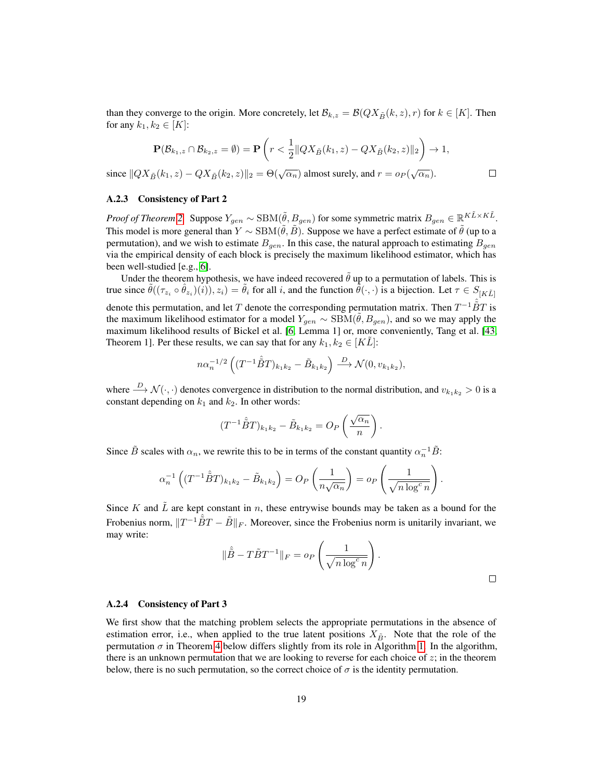than they converge to the origin. More concretely, let  $\mathcal{B}_{k,z} = \mathcal{B}(QX_{\tilde{B}}(k, z), r)$  for  $k \in [K]$ . Then for any  $k_1, k_2 \in [K]$ :

$$
\mathbf{P}(\mathcal{B}_{k_1,z} \cap \mathcal{B}_{k_2,z} = \emptyset) = \mathbf{P}\left(r < \frac{1}{2} \|QX_{\tilde{B}}(k_1,z) - QX_{\tilde{B}}(k_2,z)\|_2\right) \to 1,
$$
  

$$
X_{\tilde{B}}(k_1,z) - QX_{\tilde{B}}(k_2,z)\|_2 = \Theta(\sqrt{\alpha_n}) \text{ almost surely, and } r = o_P(\sqrt{\alpha_n}).
$$

since  $||QX_{\tilde{B}}(k_1, z) - QX_{\tilde{B}}(k_2, z)||_2 = \Theta(\sqrt{\alpha_n})$  almost surely, and  $r = o_P(\sqrt{\alpha_n})$ .

### A.2.3 Consistency of Part 2

*Proof of Theorem [2.](#page-7-0)* Suppose  $Y_{gen} \sim \text{SBM}(\tilde{\theta}, B_{gen})$  for some symmetric matrix  $B_{gen} \in \mathbb{R}^{K\tilde{L} \times K\tilde{L}}$ . This model is more general than  $Y \sim \text{SBM}(\theta, B)$ . Suppose we have a perfect estimate of  $\theta$  (up to a permutation), and we wish to estimate  $B_{gen}$ . In this case, the natural approach to estimating  $B_{gen}$ via the empirical density of each block is precisely the maximum likelihood estimator, which has been well-studied [e.g., [6\]](#page-10-15).

Under the theorem hypothesis, we have indeed recovered  $\hat{\theta}$  up to a permutation of labels. This is true since  $\tilde{\theta}((\tau_{z_i} \circ \hat{\theta}_{z_i})(i)), z_i) = \tilde{\theta}_i$  for all i, and the function  $\tilde{\theta}(\cdot, \cdot)$  is a bijection. Let  $\tau \in S_{[K\tilde{L}]}$ denote this permutation, and let T denote the corresponding permutation matrix. Then  $T^{-1}\hat{\tilde{B}}T$  is the maximum likelihood estimator for a model  $Y_{gen} \sim \text{SBM}(\theta, B_{gen})$ , and so we may apply the maximum likelihood results of Bickel et al. [\[6,](#page-10-15) Lemma 1] or, more conveniently, Tang et al. [\[43,](#page-12-11) Theorem 1]. Per these results, we can say that for any  $k_1, k_2 \in [KL]$ :

$$
n\alpha_n^{-1/2} \left( (T^{-1}\hat{\tilde{B}}T)_{k_1k_2} - \tilde{B}_{k_1k_2} \right) \stackrel{D}{\longrightarrow} \mathcal{N}(0, v_{k_1k_2}),
$$

where  $\stackrel{D}{\longrightarrow} \mathcal{N}(\cdot, \cdot)$  denotes convergence in distribution to the normal distribution, and  $v_{k_1k_2} > 0$  is a constant depending on  $k_1$  and  $k_2$ . In other words:

$$
(T^{-1}\hat{\tilde{B}}T)_{k_1k_2} - \tilde{B}_{k_1k_2} = O_P\left(\frac{\sqrt{\alpha_n}}{n}\right).
$$

Since  $\tilde{B}$  scales with  $\alpha_n$ , we rewrite this to be in terms of the constant quantity  $\alpha_n^{-1}\tilde{B}$ :

$$
\alpha_n^{-1}\left((T^{-1}\hat{\tilde{B}}T)_{k_1k_2}-\tilde{B}_{k_1k_2}\right)=O_P\left(\frac{1}{n\sqrt{\alpha_n}}\right)=o_P\left(\frac{1}{\sqrt{n\log^c n}}\right).
$$

Since K and  $\tilde{L}$  are kept constant in n, these entrywise bounds may be taken as a bound for the Frobenius norm,  $||T^{-1}\hat{\tilde{B}}T - \tilde{B}||_F$ . Moreover, since the Frobenius norm is unitarily invariant, we may write:

$$
\|\hat{\tilde{B}} - T\tilde{B}T^{-1}\|_{F} = o_P\left(\frac{1}{\sqrt{n\log^c n}}\right).
$$

#### A.2.4 Consistency of Part 3

We first show that the matching problem selects the appropriate permutations in the absence of estimation error, i.e., when applied to the true latent positions  $X_{\tilde{B}}$ . Note that the role of the permutation  $\sigma$  in Theorem [4](#page-19-0) below differs slightly from its role in Algorithm [1.](#page-5-0) In the algorithm, there is an unknown permutation that we are looking to reverse for each choice of  $z$ ; in the theorem below, there is no such permutation, so the correct choice of  $\sigma$  is the identity permutation.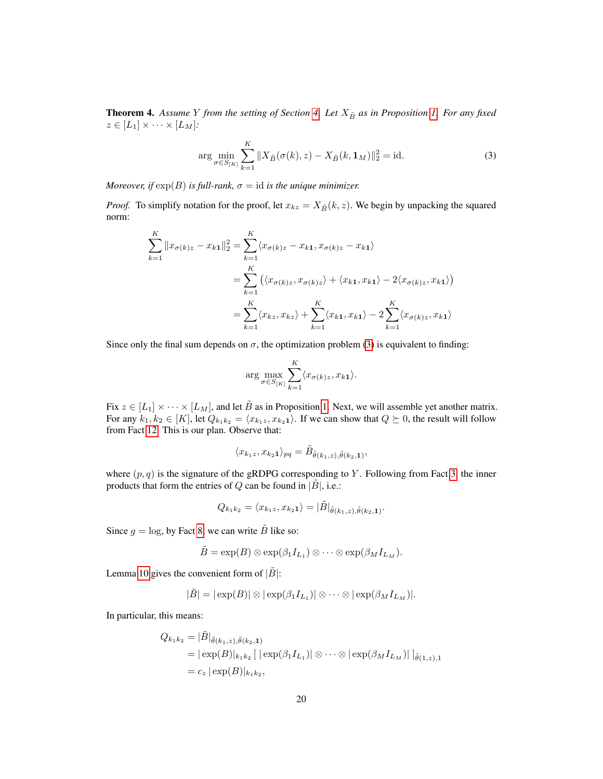<span id="page-19-0"></span>**Theorem [4.](#page-6-0)** Assume Y from the setting of Section 4. Let  $X_{\tilde{B}}$  as in Proposition [1.](#page-3-0) For any fixed  $z \in [L_1] \times \cdots \times [L_M]$ :

<span id="page-19-1"></span>
$$
\arg\min_{\sigma \in S_{[K]}} \sum_{k=1}^{K} \|X_{\tilde{B}}(\sigma(k), z) - X_{\tilde{B}}(k, \mathbf{1}_M)\|_2^2 = \text{id}.
$$
 (3)

*Moreover, if*  $exp(B)$  *is full-rank,*  $\sigma = id$  *is the unique minimizer.* 

*Proof.* To simplify notation for the proof, let  $x_{kz} = X_{\tilde{B}}(k, z)$ . We begin by unpacking the squared norm:

$$
\sum_{k=1}^{K} ||x_{\sigma(k)z} - x_{k1}||_2^2 = \sum_{k=1}^{K} \langle x_{\sigma(k)z} - x_{k1}, x_{\sigma(k)z} - x_{k1} \rangle
$$
  

$$
= \sum_{k=1}^{K} (\langle x_{\sigma(k)z}, x_{\sigma(k)z} \rangle + \langle x_{k1}, x_{k1} \rangle - 2 \langle x_{\sigma(k)z}, x_{k1} \rangle)
$$
  

$$
= \sum_{k=1}^{K} \langle x_{kz}, x_{kz} \rangle + \sum_{k=1}^{K} \langle x_{k1}, x_{k1} \rangle - 2 \sum_{k=1}^{K} \langle x_{\sigma(k)z}, x_{k1} \rangle
$$

Since only the final sum depends on  $\sigma$ , the optimization problem [\(3\)](#page-19-1) is equivalent to finding:

$$
\arg \max_{\sigma \in S_{[K]}} \sum_{k=1}^{K} \langle x_{\sigma(k)z}, x_{k1} \rangle.
$$

Fix  $z \in [L_1] \times \cdots \times [L_M]$ , and let  $\tilde{B}$  as in Proposition [1.](#page-3-0) Next, we will assemble yet another matrix. For any  $k_1, k_2 \in [K]$ , let  $Q_{k_1k_2} = \langle x_{k_1z}, x_{k_21} \rangle$ . If we can show that  $Q \succeq 0$ , the result will follow from Fact [12.](#page-16-0) This is our plan. Observe that:

$$
\langle x_{k_1z}, x_{k_21} \rangle_{pq} = \tilde{B}_{\tilde{\theta}(k_1,z), \tilde{\theta}(k_2,1)},
$$

where  $(p, q)$  is the signature of the gRDPG corresponding to Y. Following from Fact [3,](#page-13-4) the inner products that form the entries of Q can be found in  $|\tilde{B}|$ , i.e.:

$$
Q_{k_1k_2} = \langle x_{k_1z}, x_{k_21} \rangle = |\tilde{B}|_{\tilde{\theta}(k_1,z), \tilde{\theta}(k_2,1)}
$$

.

Since  $g = \log$ , by Fact [8,](#page-14-0) we can write  $\tilde{B}$  like so:

$$
\tilde{B}=\exp(B)\otimes \exp(\beta_1 I_{L_1})\otimes \cdots \otimes \exp(\beta_M I_{L_M}).
$$

Lemma [10](#page-15-0) gives the convenient form of  $|\tilde{B}|$ :

$$
|\tilde{B}| = |\exp(B)| \otimes |\exp(\beta_1 I_{L_1})| \otimes \cdots \otimes |\exp(\beta_M I_{L_M})|.
$$

In particular, this means:

$$
Q_{k_1k_2} = |\tilde{B}|_{\tilde{\theta}(k_1,z),\tilde{\theta}(k_2,1)}
$$
  
=  $|\exp(B)|_{k_1k_2} [|\exp(\beta_1 I_{L_1})| \otimes \cdots \otimes |\exp(\beta_M I_{L_M})|]_{\tilde{\theta}(1,z),1}$   
=  $c_z |\exp(B)|_{k_1k_2}$ ,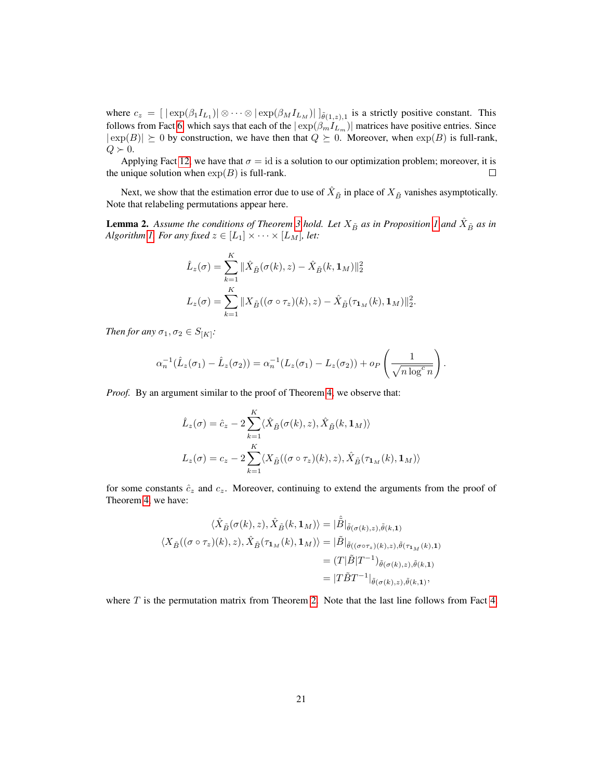where  $c_z = [|\exp(\beta_1 I_{L_1})| \otimes \cdots \otimes |\exp(\beta_M I_{L_M})|]_{\tilde{\theta}(1,z),1}$  is a strictly positive constant. This follows from Fact [6,](#page-14-2) which says that each of the  $|\exp(\beta_m I_{L_m})|$  matrices have positive entries. Since  $|\exp(B)| \geq 0$  by construction, we have then that  $Q \geq 0$ . Moreover, when  $\exp(B)$  is full-rank,  $Q \succ 0.$ 

Applying Fact [12,](#page-16-0) we have that  $\sigma = id$  is a solution to our optimization problem; moreover, it is the unique solution when  $exp(B)$  is full-rank.  $\Box$ 

Next, we show that the estimation error due to use of  $\hat{X}_{\tilde{B}}$  in place of  $X_{\tilde{B}}$  vanishes asymptotically. Note that relabeling permutations appear here.

<span id="page-20-0"></span>**Lemma 2.** Assume the conditions of Theorem [3](#page-7-1) hold. Let  $X_{\tilde{B}}$  as in Proposition [1](#page-3-0) and  $\hat{X}_{\tilde{B}}$  as in *Algorithm [1.](#page-5-0) For any fixed*  $z \in [L_1] \times \cdots \times [L_M]$ *, let:* 

$$
\hat{L}_z(\sigma) = \sum_{k=1}^K \|\hat{X}_{\tilde{B}}(\sigma(k), z) - \hat{X}_{\tilde{B}}(k, \mathbf{1}_M)\|_2^2
$$
  

$$
L_z(\sigma) = \sum_{k=1}^K \|X_{\tilde{B}}((\sigma \circ \tau_z)(k), z) - \hat{X}_{\tilde{B}}(\tau_{\mathbf{1}_M}(k), \mathbf{1}_M)\|_2^2
$$

.

*Then for any*  $\sigma_1, \sigma_2 \in S_{[K]}$ :

$$
\alpha_n^{-1}(\hat{L}_z(\sigma_1) - \hat{L}_z(\sigma_2)) = \alpha_n^{-1}(L_z(\sigma_1) - L_z(\sigma_2)) + o_P\left(\frac{1}{\sqrt{n \log^c n}}\right).
$$

*Proof.* By an argument similar to the proof of Theorem [4,](#page-19-0) we observe that:

$$
\hat{L}_z(\sigma) = \hat{c}_z - 2 \sum_{k=1}^K \langle \hat{X}_{\tilde{B}}(\sigma(k), z), \hat{X}_{\tilde{B}}(k, \mathbf{1}_M) \rangle
$$
  

$$
L_z(\sigma) = c_z - 2 \sum_{k=1}^K \langle X_{\tilde{B}}((\sigma \circ \tau_z)(k), z), \hat{X}_{\tilde{B}}(\tau_{\mathbf{1}_M}(k), \mathbf{1}_M) \rangle
$$

for some constants  $\hat{c}_z$  and  $c_z$ . Moreover, continuing to extend the arguments from the proof of Theorem [4,](#page-19-0) we have:

$$
\langle \hat{X}_{\tilde{B}}(\sigma(k), z), \hat{X}_{\tilde{B}}(k, \mathbf{1}_M) \rangle = |\hat{\tilde{B}}|_{\tilde{\theta}(\sigma(k), z), \tilde{\theta}(k, \mathbf{1})}
$$
  

$$
\langle X_{\tilde{B}}((\sigma \circ \tau_z)(k), z), \hat{X}_{\tilde{B}}(\tau_{\mathbf{1}_M}(k), \mathbf{1}_M) \rangle = |\tilde{B}|_{\tilde{\theta}((\sigma \circ \tau_z)(k), z), \tilde{\theta}(\tau_{\mathbf{1}_M}(k), \mathbf{1})}
$$
  

$$
= (T|\tilde{B}|T^{-1})_{\tilde{\theta}(\sigma(k), z), \tilde{\theta}(k, \mathbf{1})}
$$
  

$$
= |T\tilde{B}T^{-1}|_{\tilde{\theta}(\sigma(k), z), \tilde{\theta}(k, \mathbf{1})},
$$

where  $T$  is the permutation matrix from Theorem [2.](#page-7-0) Note that the last line follows from Fact [4.](#page-13-5)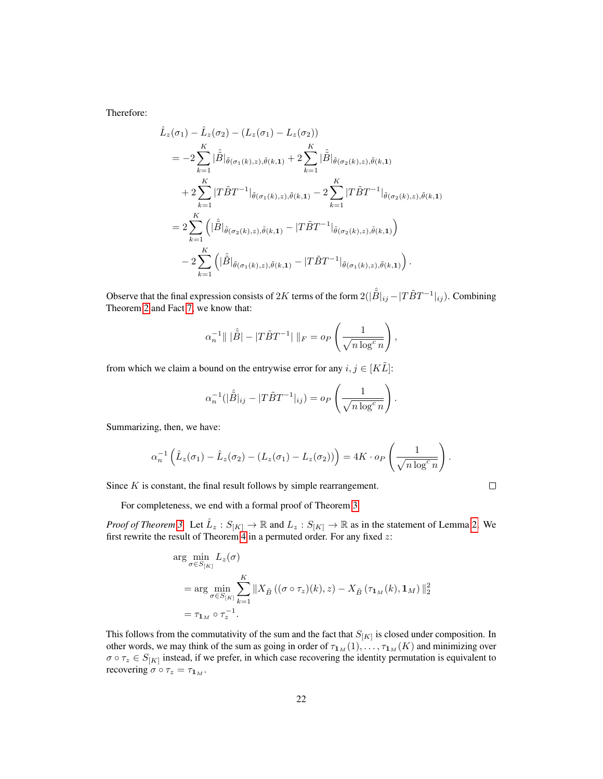Therefore:

$$
\hat{L}_{z}(\sigma_{1}) - \hat{L}_{z}(\sigma_{2}) - (L_{z}(\sigma_{1}) - L_{z}(\sigma_{2}))
$$
\n
$$
= -2 \sum_{k=1}^{K} |\hat{\hat{B}}|_{\tilde{\theta}(\sigma_{1}(k), z), \tilde{\theta}(k, 1)} + 2 \sum_{k=1}^{K} |\hat{\hat{B}}|_{\tilde{\theta}(\sigma_{2}(k), z), \tilde{\theta}(k, 1)}
$$
\n
$$
+ 2 \sum_{k=1}^{K} |T\tilde{B}T^{-1}|_{\tilde{\theta}(\sigma_{1}(k), z), \tilde{\theta}(k, 1)} - 2 \sum_{k=1}^{K} |T\tilde{B}T^{-1}|_{\tilde{\theta}(\sigma_{2}(k), z), \tilde{\theta}(k, 1)}
$$
\n
$$
= 2 \sum_{k=1}^{K} (|\hat{\hat{B}}|_{\tilde{\theta}(\sigma_{2}(k), z), \tilde{\theta}(k, 1)} - |T\tilde{B}T^{-1}|_{\tilde{\theta}(\sigma_{2}(k), z), \tilde{\theta}(k, 1)})
$$
\n
$$
-2 \sum_{k=1}^{K} (|\hat{\hat{B}}|_{\tilde{\theta}(\sigma_{1}(k), z), \tilde{\theta}(k, 1)} - |T\tilde{B}T^{-1}|_{\tilde{\theta}(\sigma_{1}(k), z), \tilde{\theta}(k, 1)}) .
$$

Observe that the final expression consists of 2K terms of the form  $2(|\hat{B}|_{ij} - |T\tilde{B}T^{-1}|_{ij})$ . Combining Theorem [2](#page-7-0) and Fact [7,](#page-14-3) we know that:

$$
\alpha_n^{-1} \|\|\hat{\tilde{B}}\| - |T\tilde{B}T^{-1}|\|_F = o_P\left(\frac{1}{\sqrt{n\log^c n}}\right),
$$

from which we claim a bound on the entrywise error for any  $i, j \in [K\tilde{L}]$ :

$$
\alpha_n^{-1}(|\hat{\tilde{B}}|_{ij} - |T\tilde{B}T^{-1}|_{ij}) = o_P\left(\frac{1}{\sqrt{n\log^c n}}\right).
$$

Summarizing, then, we have:

$$
\alpha_n^{-1}\left(\hat{L}_z(\sigma_1) - \hat{L}_z(\sigma_2) - (L_z(\sigma_1) - L_z(\sigma_2))\right) = 4K \cdot o_P\left(\frac{1}{\sqrt{n \log^c n}}\right).
$$

Since  $K$  is constant, the final result follows by simple rearrangement.

$$
\qquad \qquad \Box
$$

For completeness, we end with a formal proof of Theorem [3.](#page-7-1)

*Proof of Theorem [3.](#page-7-1)* Let  $\hat{L}_z$ :  $S_{[K]} \to \mathbb{R}$  and  $L_z$ :  $S_{[K]} \to \mathbb{R}$  as in the statement of Lemma [2.](#page-20-0) We first rewrite the result of Theorem [4](#page-19-0) in a permuted order. For any fixed  $z$ :

$$
\arg\min_{\sigma \in S_{[K]}} L_z(\sigma)
$$
  
= 
$$
\arg\min_{\sigma \in S_{[K]}} \sum_{k=1}^K \|X_{\tilde{B}}((\sigma \circ \tau_z)(k), z) - X_{\tilde{B}}(\tau_{1_M}(k), 1_M)\|_2^2
$$
  
= 
$$
\tau_{1_M} \circ \tau_z^{-1}.
$$

This follows from the commutativity of the sum and the fact that  $S_{[K]}$  is closed under composition. In other words, we may think of the sum as going in order of  $\tau_{1_M}(1), \ldots, \tau_{1_M}(K)$  and minimizing over  $\sigma \circ \tau_z \in S_{[K]}$  instead, if we prefer, in which case recovering the identity permutation is equivalent to recovering  $\sigma \circ \tau_z = \tau_{1_M}$ .